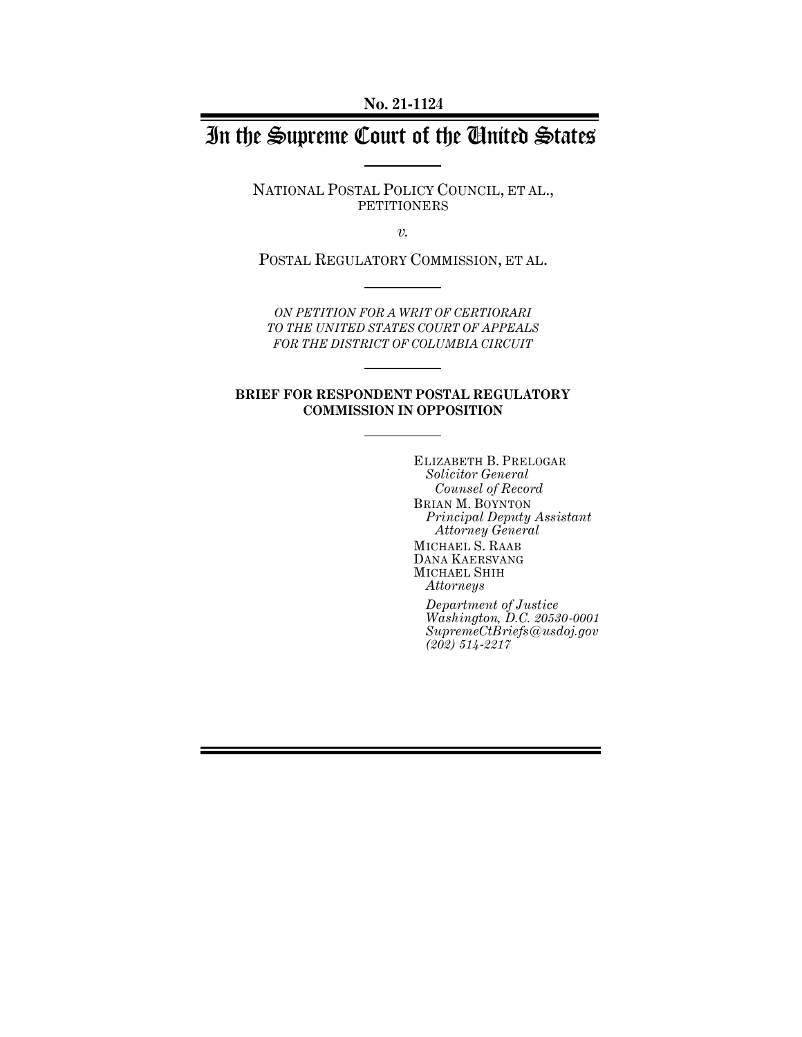**No. 21-1124**

# In the Supreme Court of the United States

NATIONAL POSTAL POLICY COUNCIL, ET AL., PETITIONERS

*v.*

POSTAL REGULATORY COMMISSION, ET AL.

*ON PETITION FOR A WRIT OF CERTIORARI TO THE UNITED STATES COURT OF APPEALS FOR THE DISTRICT OF COLUMBIA CIRCUIT*

#### **BRIEF FOR RESPONDENT POSTAL REGULATORY COMMISSION IN OPPOSITION**

ELIZABETH B. PRELOGAR *Solicitor General Counsel of Record* BRIAN M. BOYNTON *Principal Deputy Assistant Attorney General* MICHAEL S. RAAB DANA KAERSVANG MICHAEL SHIH *Attorneys*

*Department of Justice Washington, D.C. 20530-0001 SupremeCtBriefs@usdoj.gov (202) 514-2217*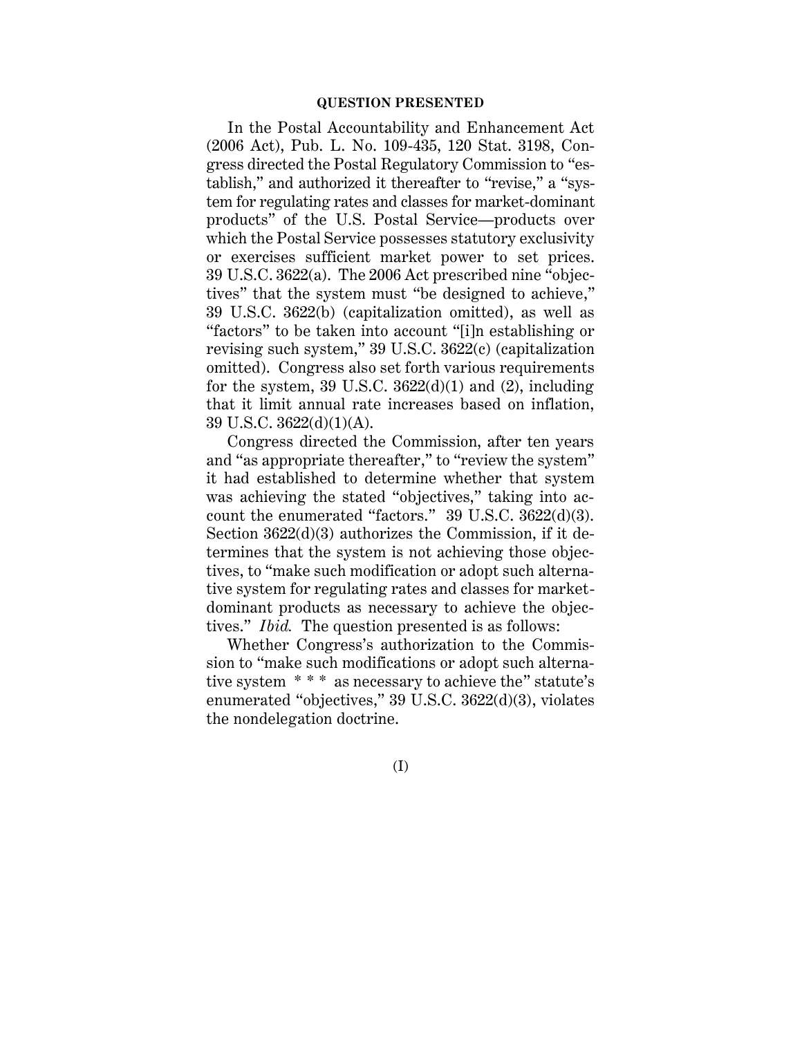#### **QUESTION PRESENTED**

In the Postal Accountability and Enhancement Act (2006 Act), Pub. L. No. 109-435, 120 Stat. 3198, Congress directed the Postal Regulatory Commission to "establish," and authorized it thereafter to "revise," a "system for regulating rates and classes for market-dominant products" of the U.S. Postal Service—products over which the Postal Service possesses statutory exclusivity or exercises sufficient market power to set prices. 39 U.S.C. 3622(a). The 2006 Act prescribed nine "objectives" that the system must "be designed to achieve," 39 U.S.C. 3622(b) (capitalization omitted), as well as "factors" to be taken into account "[i]n establishing or revising such system," 39 U.S.C. 3622(c) (capitalization omitted). Congress also set forth various requirements for the system, 39 U.S.C.  $3622(d)(1)$  and (2), including that it limit annual rate increases based on inflation, 39 U.S.C. 3622(d)(1)(A).

Congress directed the Commission, after ten years and "as appropriate thereafter," to "review the system" it had established to determine whether that system was achieving the stated "objectives," taking into account the enumerated "factors." 39 U.S.C. 3622(d)(3). Section 3622(d)(3) authorizes the Commission, if it determines that the system is not achieving those objectives, to "make such modification or adopt such alternative system for regulating rates and classes for marketdominant products as necessary to achieve the objectives." *Ibid.* The question presented is as follows:

Whether Congress's authorization to the Commission to "make such modifications or adopt such alternative system \* \* \* as necessary to achieve the" statute's enumerated "objectives," 39 U.S.C. 3622(d)(3), violates the nondelegation doctrine.

#### (I)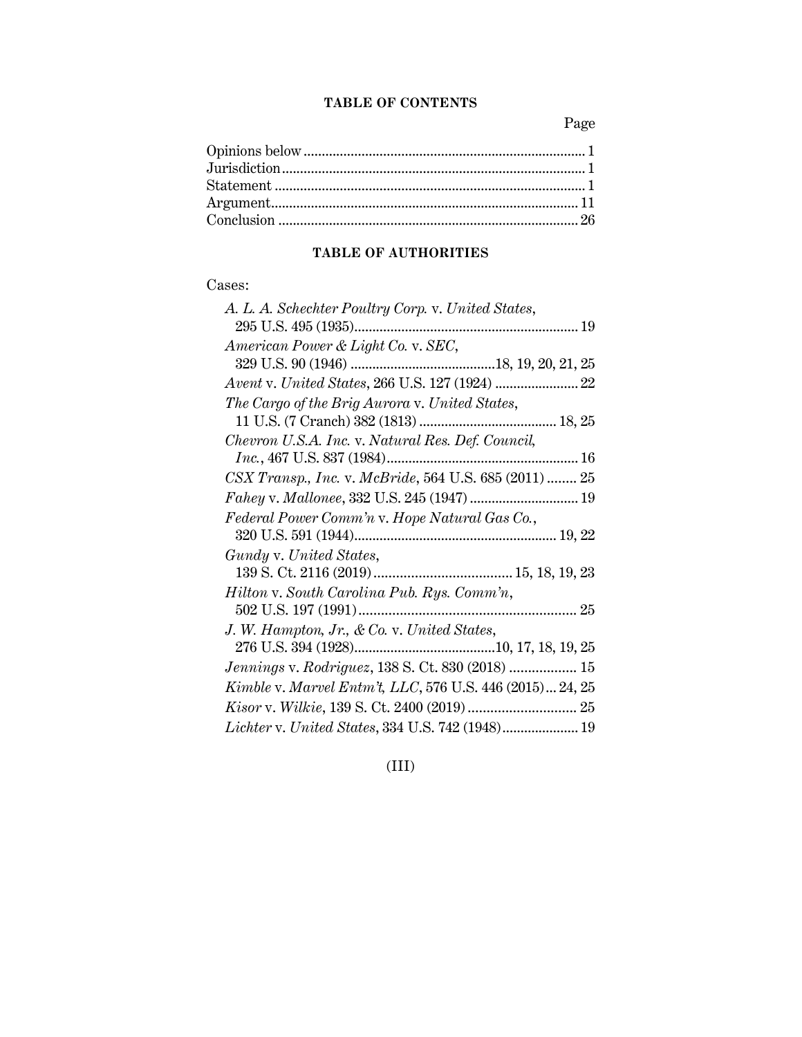#### **TABLE OF CONTENTS**

Page

### **TABLE OF AUTHORITIES**

### Cases:

| A. L. A. Schechter Poultry Corp. v. United States,       |
|----------------------------------------------------------|
|                                                          |
| American Power & Light Co. v. SEC,                       |
|                                                          |
|                                                          |
| The Cargo of the Brig Aurora v. United States,           |
|                                                          |
| Chevron U.S.A. Inc. v. Natural Res. Def. Council,        |
|                                                          |
| CSX Transp., Inc. v. McBride, 564 U.S. 685 (2011)  25    |
|                                                          |
| Federal Power Comm'n v. Hope Natural Gas Co.,            |
|                                                          |
| Gundy v. United States,                                  |
|                                                          |
| Hilton v. South Carolina Pub. Rys. Comm'n,               |
|                                                          |
| J. W. Hampton, Jr., & Co. v. United States,              |
|                                                          |
| <i>Jennings v. Rodriguez</i> , 138 S. Ct. 830 (2018)  15 |
| Kimble v. Marvel Entm't, LLC, 576 U.S. 446 (2015) 24, 25 |
|                                                          |
| Lichter v. United States, 334 U.S. 742 (1948) 19         |
|                                                          |

## (III)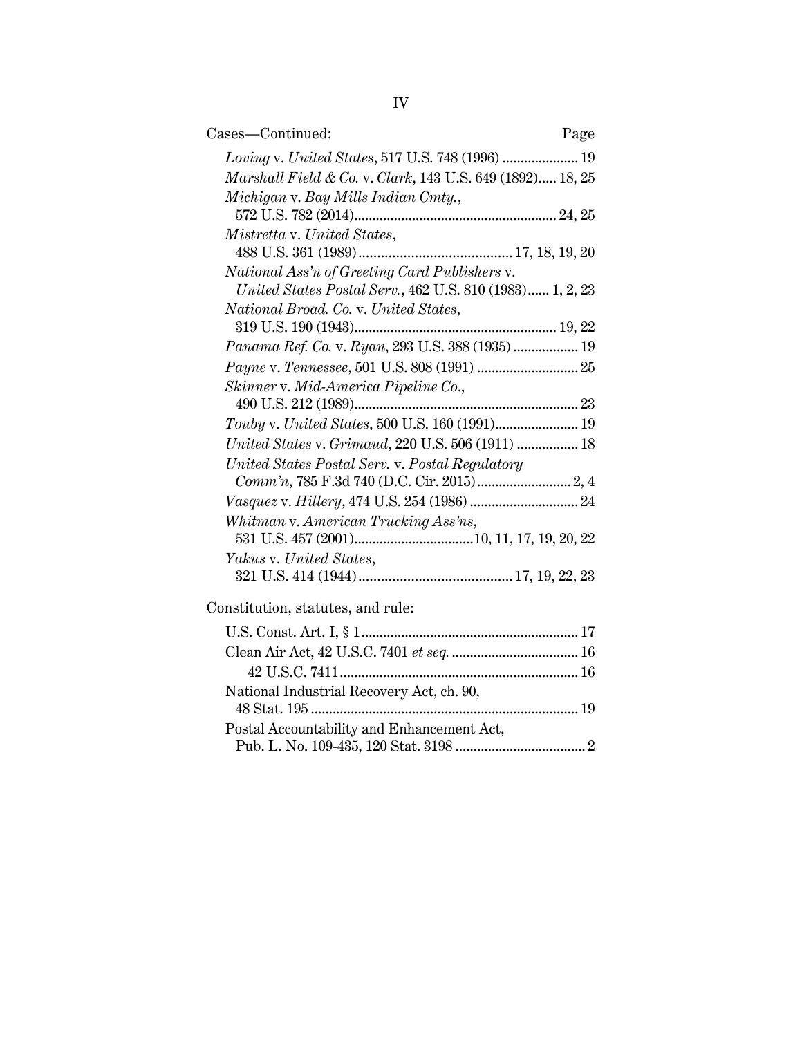| Cases—Continued:                                          | Page |
|-----------------------------------------------------------|------|
| Loving v. United States, 517 U.S. 748 (1996)  19          |      |
| Marshall Field & Co. v. Clark, 143 U.S. 649 (1892) 18, 25 |      |
| Michigan v. Bay Mills Indian Cmty.,                       |      |
|                                                           |      |
| Mistretta v. United States,                               |      |
|                                                           |      |
| National Ass'n of Greeting Card Publishers v.             |      |
| United States Postal Serv., 462 U.S. 810 (1983) 1, 2, 23  |      |
| National Broad. Co. v. United States,                     |      |
|                                                           |      |
| Panama Ref. Co. v. Ryan, 293 U.S. 388 (1935) 19           |      |
|                                                           |      |
| Skinner v. Mid-America Pipeline Co.,                      |      |
|                                                           |      |
| Touby v. United States, 500 U.S. 160 (1991) 19            |      |
| United States v. Grimaud, 220 U.S. 506 (1911)  18         |      |
| United States Postal Serv. v. Postal Regulatory           |      |
|                                                           |      |
|                                                           |      |
| Whitman v. American Trucking Ass'ns,                      |      |
|                                                           |      |
| Yakus v. United States,                                   |      |
|                                                           |      |
| Constitution, statutes, and rule:                         |      |
|                                                           |      |
|                                                           |      |
|                                                           |      |

National Industrial Recovery Act, ch. 90,

Postal Accountability and Enhancement Act,

48 Stat. 195 .......................................................................... 19

Pub. L. No. 109-435, 120 Stat. 3198 .................................... 2

IV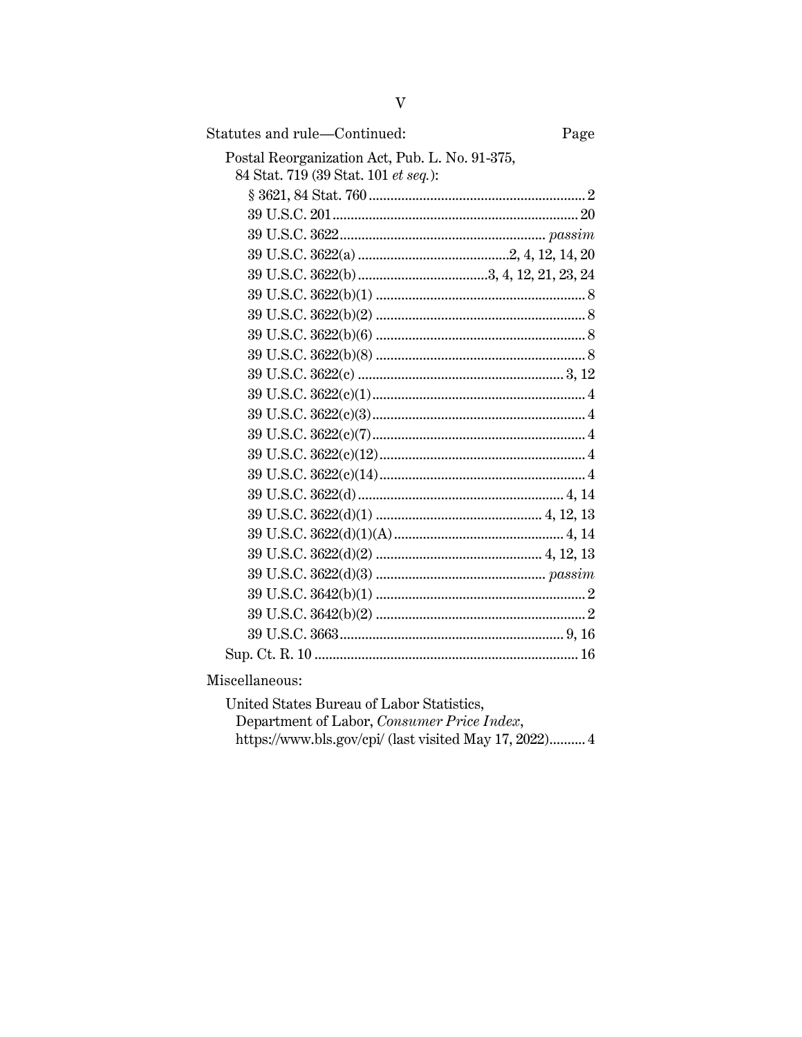| Statutes and rule-Continued:                   | Page |
|------------------------------------------------|------|
| Postal Reorganization Act, Pub. L. No. 91-375, |      |
| 84 Stat. 719 (39 Stat. 101 et seq.):           |      |
|                                                |      |
|                                                |      |
|                                                |      |
|                                                |      |
|                                                |      |
|                                                |      |
|                                                |      |
|                                                |      |
|                                                |      |
|                                                |      |
|                                                |      |
|                                                |      |
|                                                |      |
|                                                |      |
|                                                |      |
|                                                |      |
|                                                |      |
|                                                |      |
|                                                |      |
|                                                |      |
|                                                |      |
|                                                |      |
|                                                |      |
|                                                |      |

Miscellaneous:

United States Bureau of Labor Statistics, Department of Labor, Consumer Price Index, https://www.bls.gov/cpi/ (last visited May 17, 2022).......... 4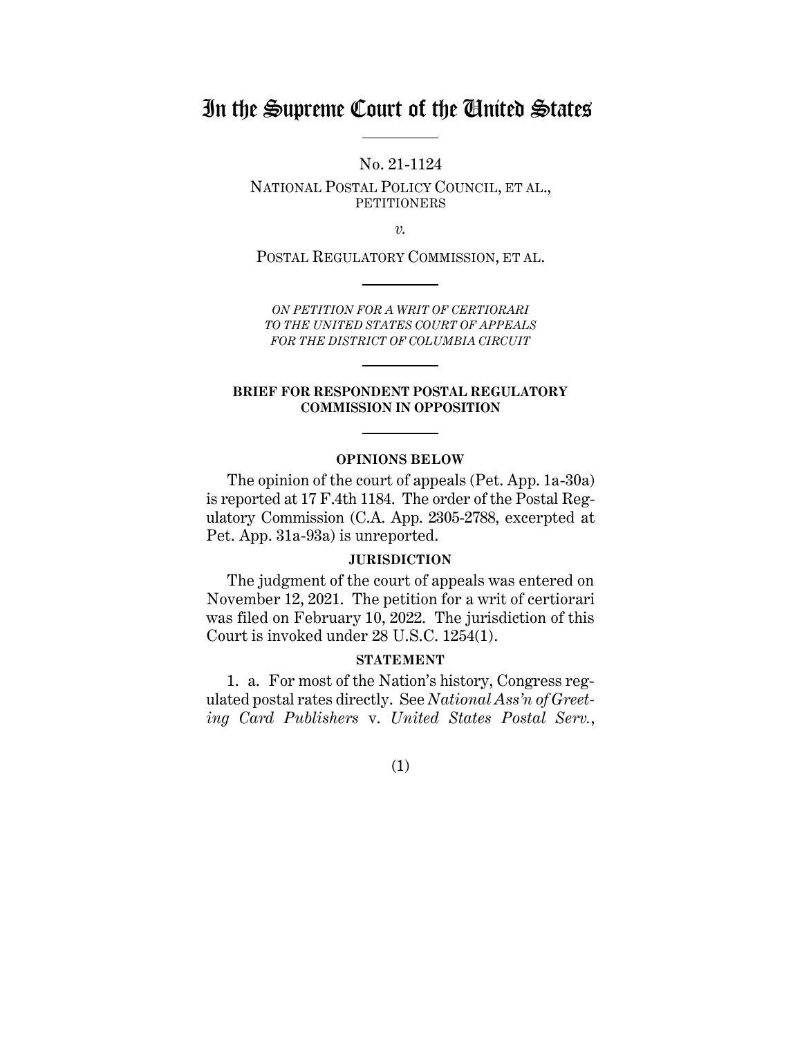# In the Supreme Court of the United States

No. 21-1124

NATIONAL POSTAL POLICY COUNCIL, ET AL., **PETITIONERS** 

*v.*

POSTAL REGULATORY COMMISSION, ET AL.

*ON PETITION FOR A WRIT OF CERTIORARI TO THE UNITED STATES COURT OF APPEALS FOR THE DISTRICT OF COLUMBIA CIRCUIT*

#### **BRIEF FOR RESPONDENT POSTAL REGULATORY COMMISSION IN OPPOSITION**

#### **OPINIONS BELOW**

<span id="page-5-0"></span>The opinion of the court of appeals (Pet. App. 1a-30a) is reported at 17 F.4th 1184. The order of the Postal Regulatory Commission (C.A. App. 2305-2788, excerpted at Pet. App. 31a-93a) is unreported.

#### **JURISDICTION**

<span id="page-5-1"></span>The judgment of the court of appeals was entered on November 12, 2021. The petition for a writ of certiorari was filed on February 10, 2022. The jurisdiction of this Court is invoked under 28 U.S.C. 1254(1).

#### **STATEMENT**

<span id="page-5-2"></span>1. a. For most of the Nation's history, Congress regulated postal rates directly. See *National Ass'n of Greeting Card Publishers* v. *United States Postal Serv.*,

#### (1)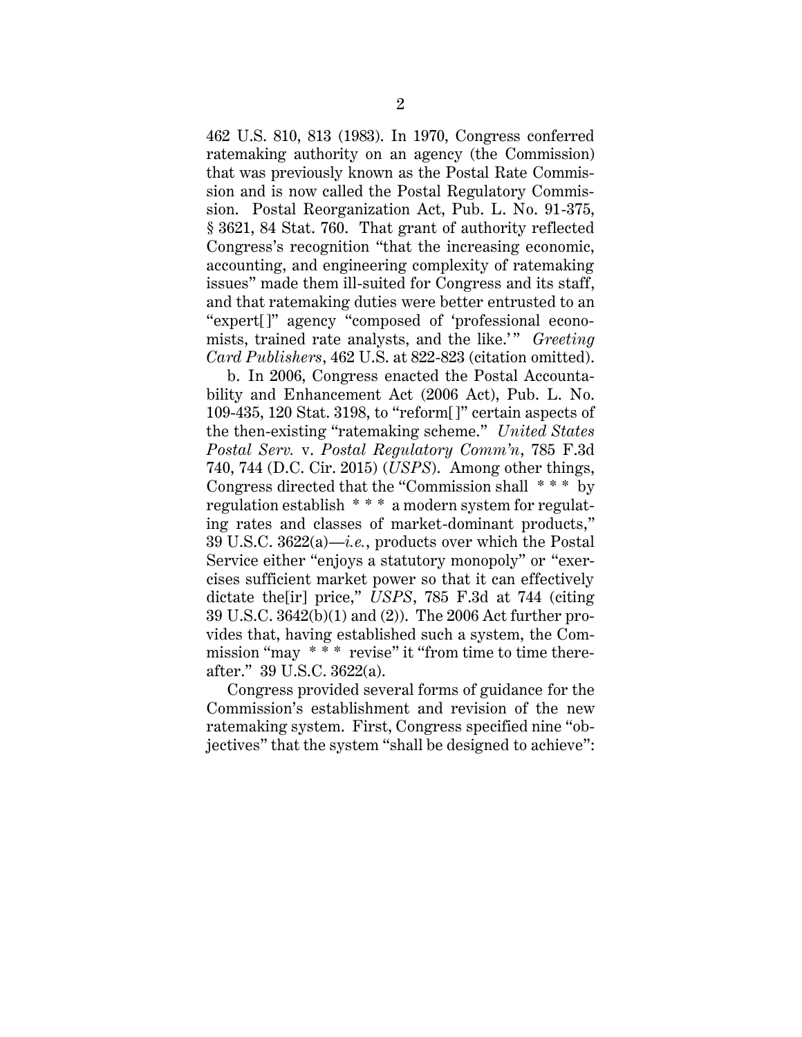462 U.S. 810, 813 (1983). In 1970, Congress conferred ratemaking authority on an agency (the Commission) that was previously known as the Postal Rate Commission and is now called the Postal Regulatory Commission. Postal Reorganization Act, Pub. L. No. 91-375, § 3621, 84 Stat. 760. That grant of authority reflected Congress's recognition "that the increasing economic, accounting, and engineering complexity of ratemaking issues" made them ill-suited for Congress and its staff, and that ratemaking duties were better entrusted to an "expert[]" agency "composed of 'professional economists, trained rate analysts, and the like.'" *Greeting Card Publishers*, 462 U.S. at 822-823 (citation omitted).

b. In 2006, Congress enacted the Postal Accountability and Enhancement Act (2006 Act), Pub. L. No. 109-435, 120 Stat. 3198, to "reform[]" certain aspects of the then-existing "ratemaking scheme." *United States Postal Serv.* v. *Postal Regulatory Comm'n*, 785 F.3d 740, 744 (D.C. Cir. 2015) (*USPS*). Among other things, Congress directed that the "Commission shall \* \* \* by regulation establish \* \* \* a modern system for regulating rates and classes of market-dominant products," 39 U.S.C. 3622(a)—*i.e.*, products over which the Postal Service either "enjoys a statutory monopoly" or "exercises sufficient market power so that it can effectively dictate the[ir] price," *USPS*, 785 F.3d at 744 (citing 39 U.S.C. 3642(b)(1) and (2)). The 2006 Act further provides that, having established such a system, the Commission "may  $* \overline{*} *$  revise" it "from time to time thereafter." 39 U.S.C. 3622(a).

Congress provided several forms of guidance for the Commission's establishment and revision of the new ratemaking system. First, Congress specified nine "objectives" that the system "shall be designed to achieve":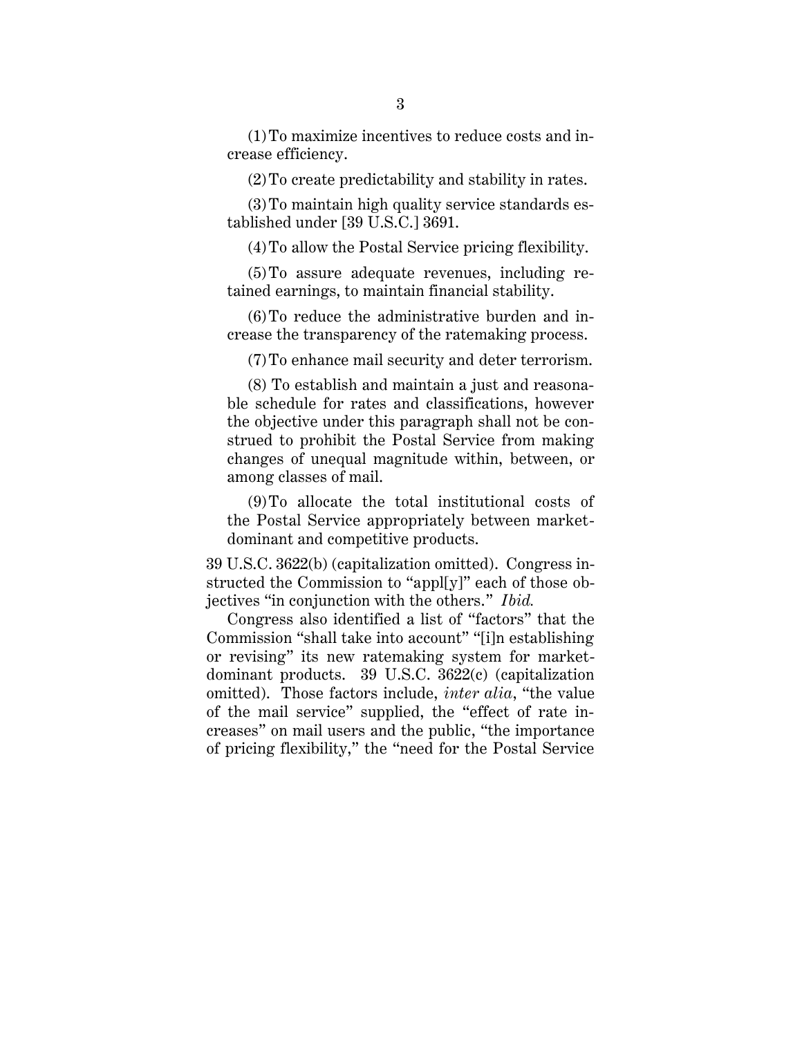(1)To maximize incentives to reduce costs and increase efficiency.

(2)To create predictability and stability in rates.

(3)To maintain high quality service standards established under [39 U.S.C.] 3691.

(4)To allow the Postal Service pricing flexibility.

(5)To assure adequate revenues, including retained earnings, to maintain financial stability.

(6)To reduce the administrative burden and increase the transparency of the ratemaking process.

(7)To enhance mail security and deter terrorism.

(8) To establish and maintain a just and reasonable schedule for rates and classifications, however the objective under this paragraph shall not be construed to prohibit the Postal Service from making changes of unequal magnitude within, between, or among classes of mail.

(9)To allocate the total institutional costs of the Postal Service appropriately between marketdominant and competitive products.

39 U.S.C. 3622(b) (capitalization omitted). Congress instructed the Commission to "appl[y]" each of those objectives "in conjunction with the others." *Ibid.*

Congress also identified a list of "factors" that the Commission "shall take into account" "[i]n establishing or revising" its new ratemaking system for marketdominant products. 39 U.S.C. 3622(c) (capitalization omitted). Those factors include, *inter alia*, "the value of the mail service" supplied, the "effect of rate increases" on mail users and the public, "the importance of pricing flexibility," the "need for the Postal Service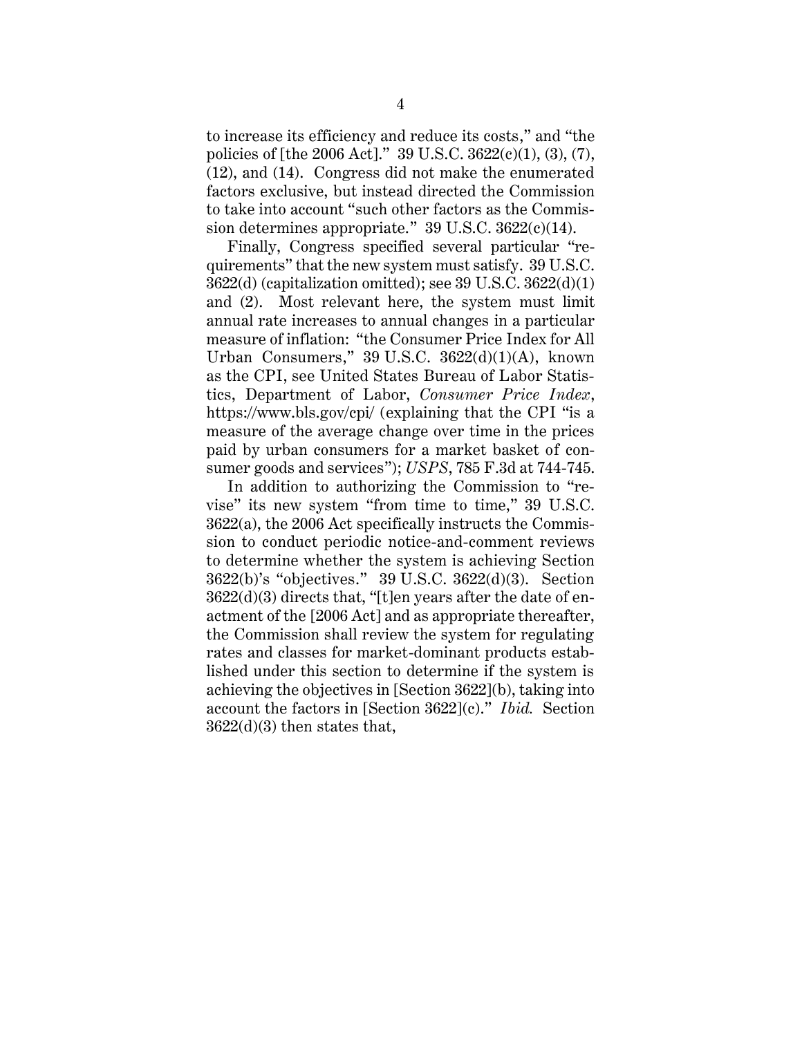to increase its efficiency and reduce its costs," and "the policies of [the 2006 Act]." 39 U.S.C. 3622(c)(1), (3), (7), (12), and (14). Congress did not make the enumerated factors exclusive, but instead directed the Commission to take into account "such other factors as the Commission determines appropriate." 39 U.S.C. 3622(c)(14).

Finally, Congress specified several particular "requirements" that the new system must satisfy. 39 U.S.C. 3622(d) (capitalization omitted); see 39 U.S.C. 3622(d)(1) and (2). Most relevant here, the system must limit annual rate increases to annual changes in a particular measure of inflation: "the Consumer Price Index for All Urban Consumers,"  $39$  U.S.C.  $3622(d)(1)(A)$ , known as the CPI, see United States Bureau of Labor Statistics, Department of Labor, *Consumer Price Index*, https://www.bls.gov/cpi/ (explaining that the CPI "is a measure of the average change over time in the prices paid by urban consumers for a market basket of consumer goods and services"); *USPS*, 785 F.3d at 744-745.

In addition to authorizing the Commission to "revise" its new system "from time to time," 39 U.S.C. 3622(a), the 2006 Act specifically instructs the Commission to conduct periodic notice-and-comment reviews to determine whether the system is achieving Section 3622(b)'s "objectives." 39 U.S.C. 3622(d)(3). Section 3622(d)(3) directs that, "[t]en years after the date of enactment of the [2006 Act] and as appropriate thereafter, the Commission shall review the system for regulating rates and classes for market-dominant products established under this section to determine if the system is achieving the objectives in [Section 3622](b), taking into account the factors in [Section 3622](c)." *Ibid.* Section 3622(d)(3) then states that,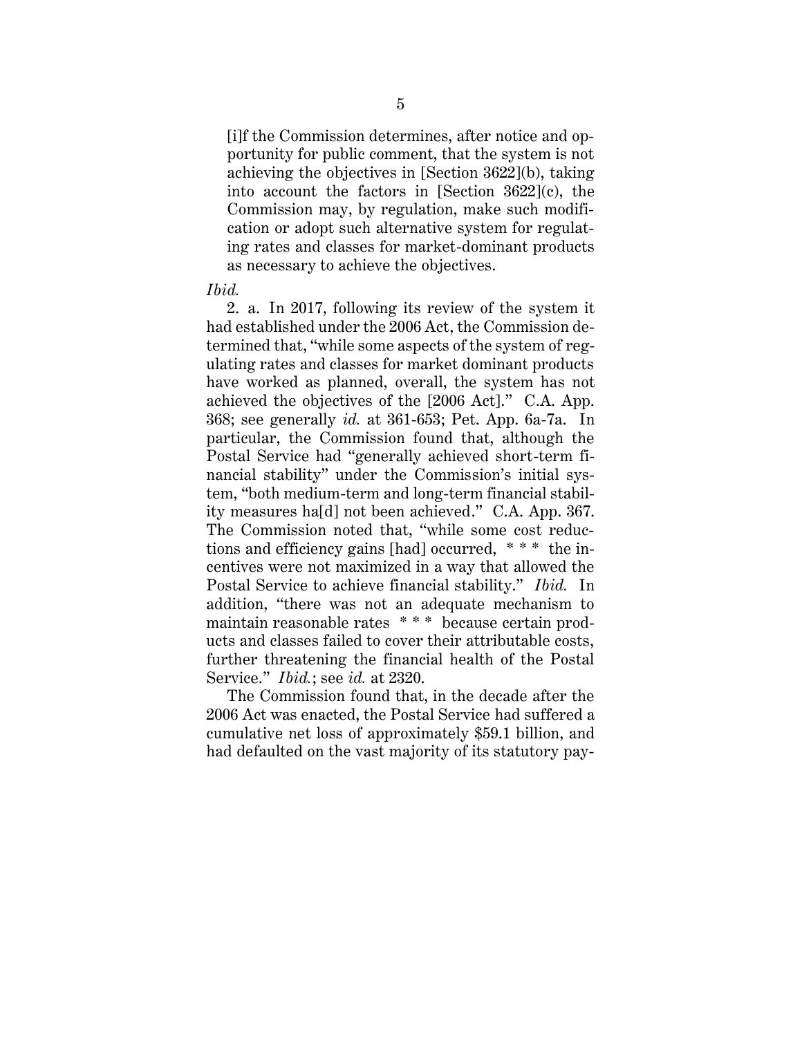[i]f the Commission determines, after notice and opportunity for public comment, that the system is not achieving the objectives in [Section 3622](b), taking into account the factors in [Section 3622](c), the Commission may, by regulation, make such modification or adopt such alternative system for regulating rates and classes for market-dominant products as necessary to achieve the objectives.

#### *Ibid.*

2. a. In 2017, following its review of the system it had established under the 2006 Act, the Commission determined that, "while some aspects of the system of regulating rates and classes for market dominant products have worked as planned, overall, the system has not achieved the objectives of the [2006 Act]." C.A. App. 368; see generally *id.* at 361-653; Pet. App. 6a-7a. In particular, the Commission found that, although the Postal Service had "generally achieved short-term financial stability" under the Commission's initial system, "both medium-term and long-term financial stability measures ha[d] not been achieved." C.A. App. 367. The Commission noted that, "while some cost reductions and efficiency gains [had] occurred, \* \* \* the incentives were not maximized in a way that allowed the Postal Service to achieve financial stability." *Ibid.* In addition, "there was not an adequate mechanism to maintain reasonable rates \* \* \* because certain products and classes failed to cover their attributable costs, further threatening the financial health of the Postal Service." *Ibid.*; see *id.* at 2320.

The Commission found that, in the decade after the 2006 Act was enacted, the Postal Service had suffered a cumulative net loss of approximately \$59.1 billion, and had defaulted on the vast majority of its statutory pay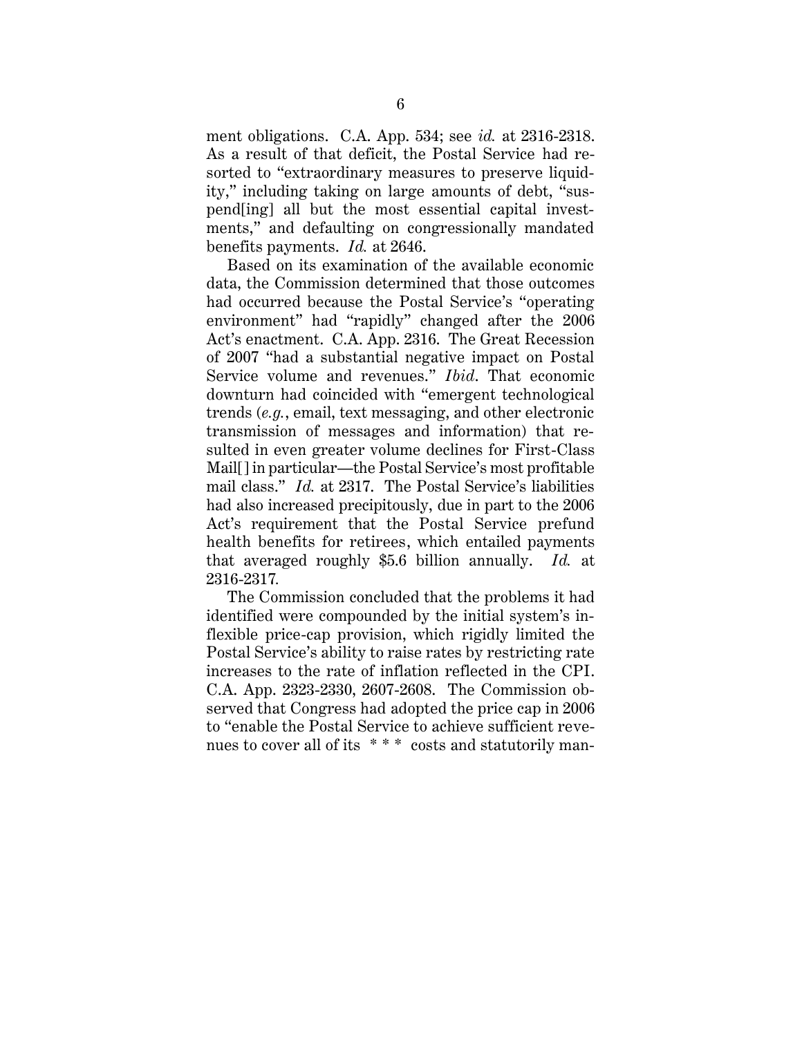ment obligations. C.A. App. 534; see *id.* at 2316-2318. As a result of that deficit, the Postal Service had resorted to "extraordinary measures to preserve liquidity," including taking on large amounts of debt, "suspend[ing] all but the most essential capital investments," and defaulting on congressionally mandated benefits payments. *Id.* at 2646.

Based on its examination of the available economic data, the Commission determined that those outcomes had occurred because the Postal Service's "operating environment" had "rapidly" changed after the 2006 Act's enactment. C.A. App. 2316. The Great Recession of 2007 "had a substantial negative impact on Postal Service volume and revenues." *Ibid*. That economic downturn had coincided with "emergent technological trends (*e.g.*, email, text messaging, and other electronic transmission of messages and information) that resulted in even greater volume declines for First-Class Mail[] in particular—the Postal Service's most profitable mail class." *Id.* at 2317. The Postal Service's liabilities had also increased precipitously, due in part to the 2006 Act's requirement that the Postal Service prefund health benefits for retirees, which entailed payments that averaged roughly \$5.6 billion annually. *Id.* at 2316-2317*.*

The Commission concluded that the problems it had identified were compounded by the initial system's inflexible price-cap provision, which rigidly limited the Postal Service's ability to raise rates by restricting rate increases to the rate of inflation reflected in the CPI. C.A. App. 2323-2330, 2607-2608. The Commission observed that Congress had adopted the price cap in 2006 to "enable the Postal Service to achieve sufficient revenues to cover all of its \*\*\* costs and statutorily man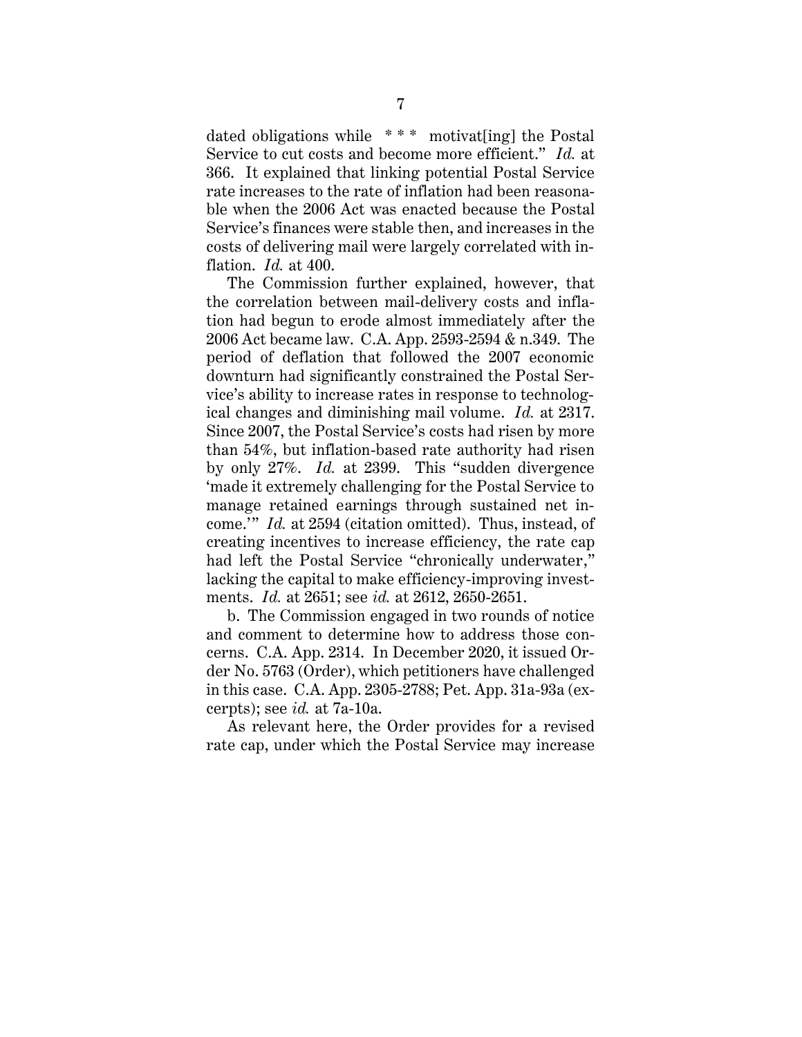dated obligations while \* \* \* motivat[ing] the Postal Service to cut costs and become more efficient." *Id.* at 366. It explained that linking potential Postal Service rate increases to the rate of inflation had been reasonable when the 2006 Act was enacted because the Postal Service's finances were stable then, and increases in the costs of delivering mail were largely correlated with inflation. *Id.* at 400.

The Commission further explained, however, that the correlation between mail-delivery costs and inflation had begun to erode almost immediately after the 2006 Act became law. C.A. App. 2593-2594 & n.349. The period of deflation that followed the 2007 economic downturn had significantly constrained the Postal Service's ability to increase rates in response to technological changes and diminishing mail volume. *Id.* at 2317. Since 2007, the Postal Service's costs had risen by more than 54%, but inflation-based rate authority had risen by only 27%. *Id.* at 2399. This "sudden divergence 'made it extremely challenging for the Postal Service to manage retained earnings through sustained net income.'" *Id.* at 2594 (citation omitted). Thus, instead, of creating incentives to increase efficiency, the rate cap had left the Postal Service "chronically underwater," lacking the capital to make efficiency-improving investments. *Id.* at 2651; see *id.* at 2612, 2650-2651.

b. The Commission engaged in two rounds of notice and comment to determine how to address those concerns. C.A. App. 2314. In December 2020, it issued Order No. 5763 (Order), which petitioners have challenged in this case. C.A. App. 2305-2788; Pet. App. 31a-93a (excerpts); see *id.* at 7a-10a.

As relevant here, the Order provides for a revised rate cap, under which the Postal Service may increase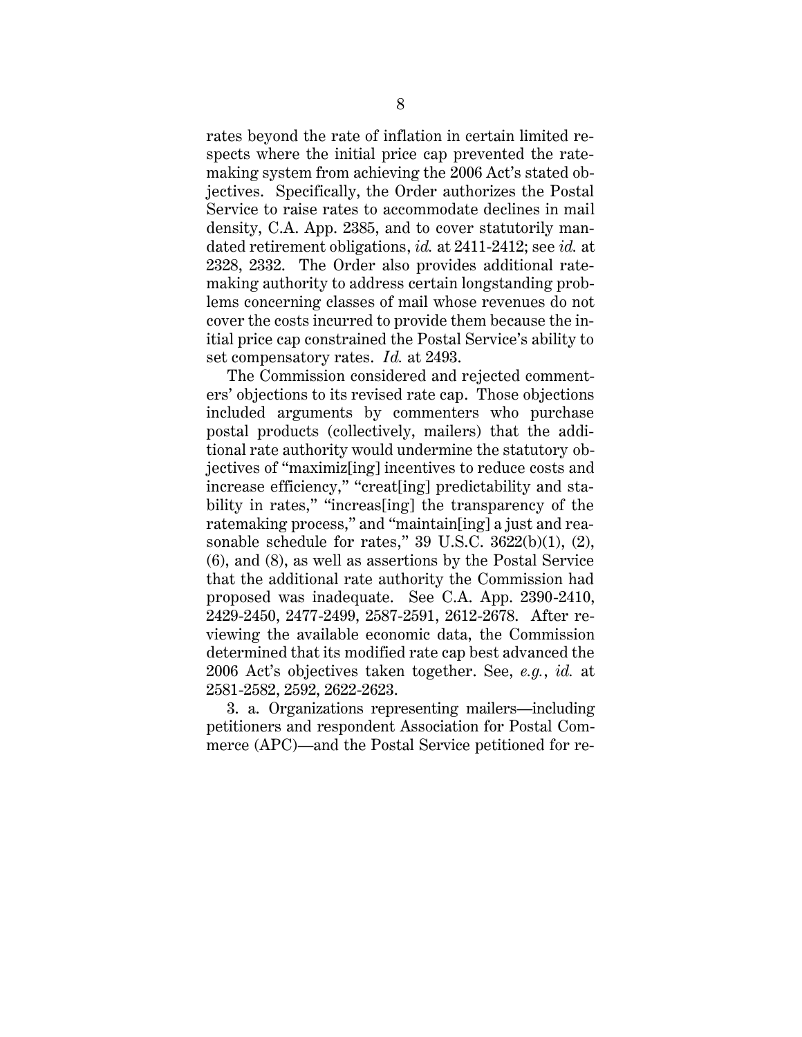rates beyond the rate of inflation in certain limited respects where the initial price cap prevented the ratemaking system from achieving the 2006 Act's stated objectives. Specifically, the Order authorizes the Postal Service to raise rates to accommodate declines in mail density, C.A. App. 2385, and to cover statutorily mandated retirement obligations, *id.* at 2411-2412; see *id.* at 2328, 2332. The Order also provides additional ratemaking authority to address certain longstanding problems concerning classes of mail whose revenues do not cover the costs incurred to provide them because the initial price cap constrained the Postal Service's ability to set compensatory rates. *Id.* at 2493.

The Commission considered and rejected commenters' objections to its revised rate cap. Those objections included arguments by commenters who purchase postal products (collectively, mailers) that the additional rate authority would undermine the statutory objectives of "maximiz[ing] incentives to reduce costs and increase efficiency," "creat[ing] predictability and stability in rates," "increas[ing] the transparency of the ratemaking process," and "maintain[ing] a just and reasonable schedule for rates,"  $39 \text{ U.S.C. } 3622(b)(1), (2),$ (6), and (8), as well as assertions by the Postal Service that the additional rate authority the Commission had proposed was inadequate. See C.A. App. 2390-2410, 2429-2450, 2477-2499, 2587-2591, 2612-2678. After reviewing the available economic data, the Commission determined that its modified rate cap best advanced the 2006 Act's objectives taken together. See, *e.g.*, *id.* at 2581-2582, 2592, 2622-2623.

3. a. Organizations representing mailers—including petitioners and respondent Association for Postal Commerce (APC)—and the Postal Service petitioned for re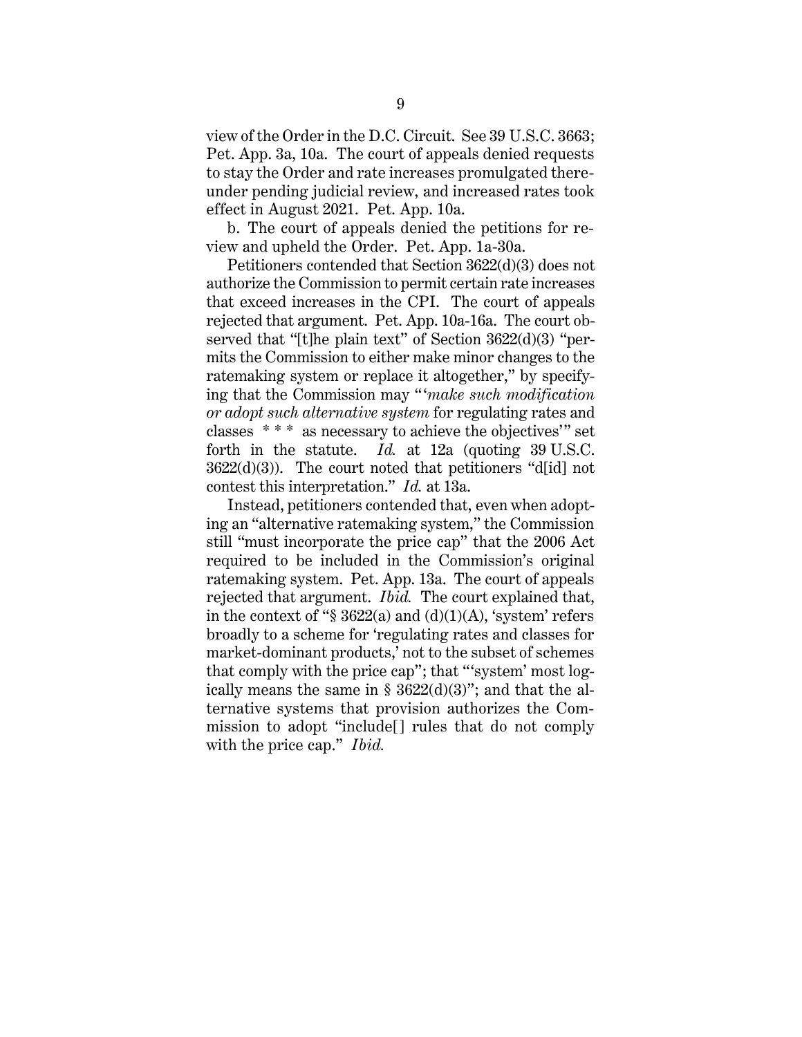view of the Order in the D.C. Circuit. See 39 U.S.C. 3663; Pet. App. 3a, 10a. The court of appeals denied requests to stay the Order and rate increases promulgated thereunder pending judicial review, and increased rates took effect in August 2021. Pet. App. 10a.

b. The court of appeals denied the petitions for review and upheld the Order. Pet. App. 1a-30a.

Petitioners contended that Section 3622(d)(3) does not authorize the Commission to permit certain rate increases that exceed increases in the CPI. The court of appeals rejected that argument. Pet. App. 10a-16a. The court observed that "[t]he plain text" of Section 3622(d)(3) "permits the Commission to either make minor changes to the ratemaking system or replace it altogether," by specifying that the Commission may "  '*make such modification or adopt such alternative system* for regulating rates and classes \* \* \* as necessary to achieve the objectives'" set forth in the statute. *Id.* at 12a (quoting 39 U.S.C.  $3622(d)(3)$ ). The court noted that petitioners "d[id] not contest this interpretation." *Id.* at 13a.

Instead, petitioners contended that, even when adopting an "alternative ratemaking system," the Commission still "must incorporate the price cap" that the 2006 Act required to be included in the Commission's original ratemaking system. Pet. App. 13a. The court of appeals rejected that argument. *Ibid.* The court explained that, in the context of " $\S 3622(a)$  and (d)(1)(A), 'system' refers broadly to a scheme for 'regulating rates and classes for market-dominant products,' not to the subset of schemes that comply with the price cap"; that "'system' most logically means the same in §  $3622(d)(3)$ "; and that the alternative systems that provision authorizes the Commission to adopt "include[] rules that do not comply with the price cap." *Ibid.*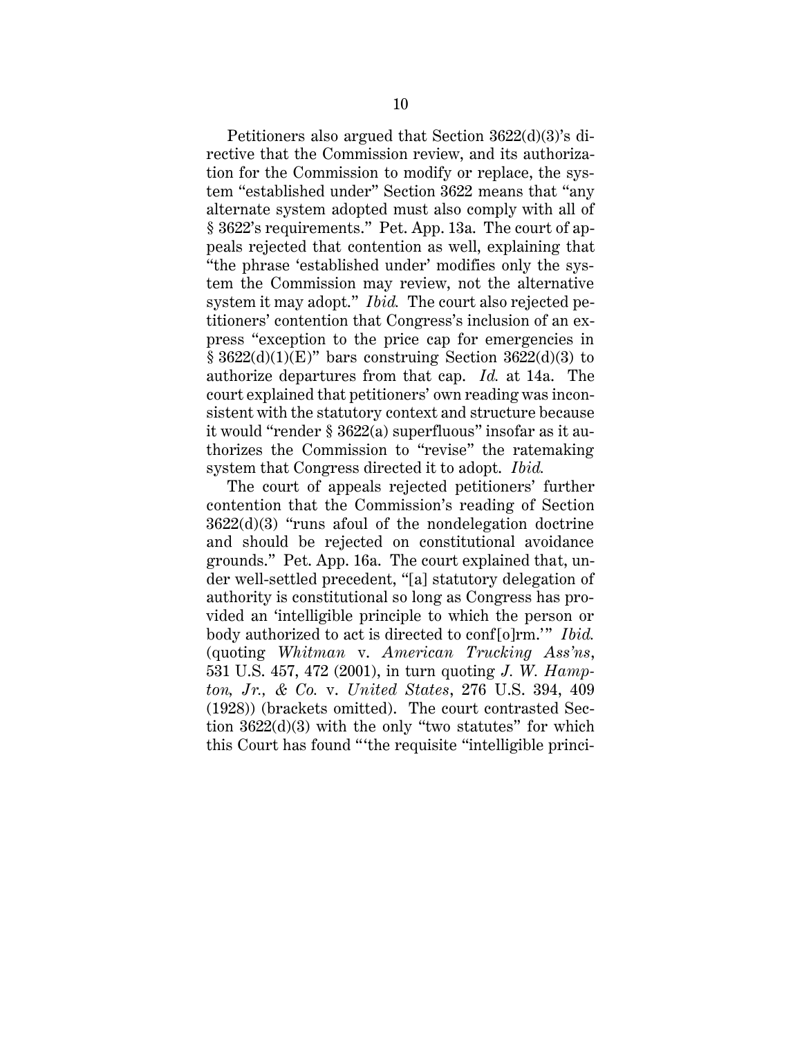Petitioners also argued that Section 3622(d)(3)'s directive that the Commission review, and its authorization for the Commission to modify or replace, the system "established under" Section 3622 means that "any alternate system adopted must also comply with all of § 3622's requirements." Pet. App. 13a. The court of appeals rejected that contention as well, explaining that "the phrase 'established under' modifies only the system the Commission may review, not the alternative system it may adopt." *Ibid.* The court also rejected petitioners' contention that Congress's inclusion of an express "exception to the price cap for emergencies in  $§ 3622(d)(1)(E)"$  bars construing Section 3622(d)(3) to authorize departures from that cap. *Id.* at 14a. The court explained that petitioners' own reading was inconsistent with the statutory context and structure because it would "render § 3622(a) superfluous" insofar as it authorizes the Commission to "revise" the ratemaking system that Congress directed it to adopt. *Ibid.* 

The court of appeals rejected petitioners' further contention that the Commission's reading of Section 3622(d)(3) "runs afoul of the nondelegation doctrine and should be rejected on constitutional avoidance grounds." Pet. App. 16a. The court explained that, under well-settled precedent, "[a] statutory delegation of authority is constitutional so long as Congress has provided an 'intelligible principle to which the person or body authorized to act is directed to conf[o]rm.'" *Ibid.* (quoting *Whitman* v. *American Trucking Ass'ns*, 531 U.S. 457, 472 (2001), in turn quoting *J. W. Hampton, Jr., & Co.* v. *United States*, 276 U.S. 394, 409 (1928)) (brackets omitted). The court contrasted Section 3622(d)(3) with the only "two statutes" for which this Court has found "'the requisite "intelligible princi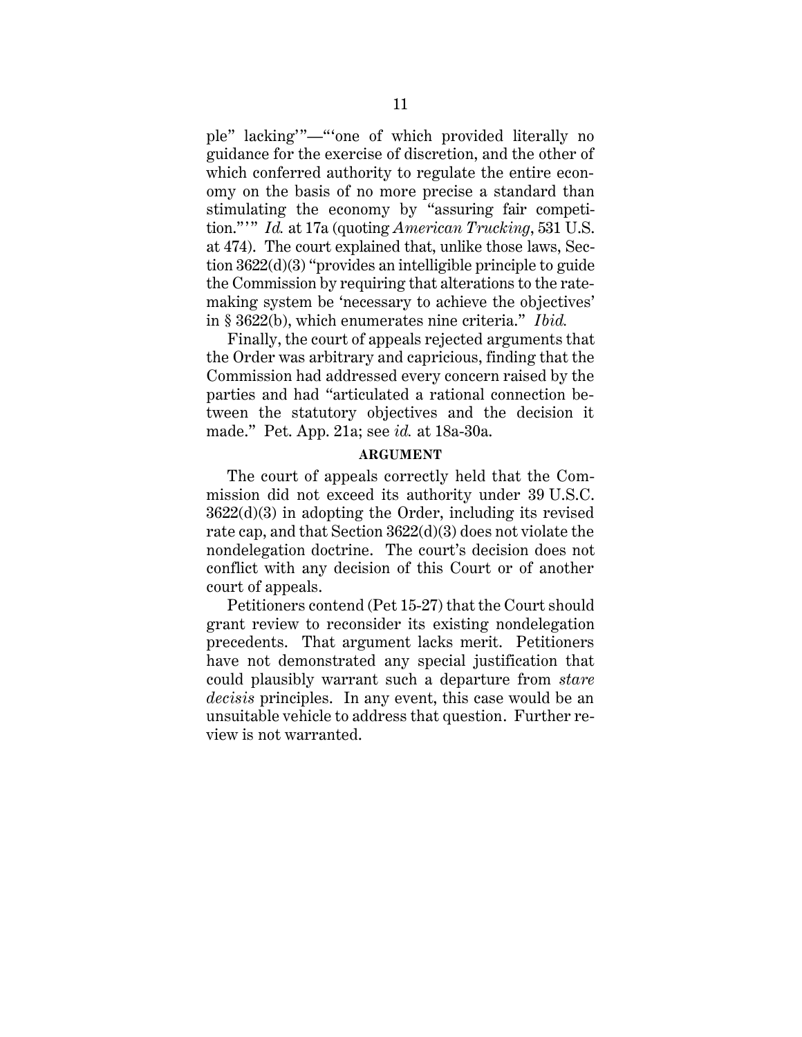ple" lacking'"—"'one of which provided literally no guidance for the exercise of discretion, and the other of which conferred authority to regulate the entire economy on the basis of no more precise a standard than stimulating the economy by "assuring fair competition."" *Id.* at 17a (quoting *American Trucking*, 531 U.S. at 474). The court explained that, unlike those laws, Section 3622(d)(3) "provides an intelligible principle to guide the Commission by requiring that alterations to the ratemaking system be 'necessary to achieve the objectives' in § 3622(b), which enumerates nine criteria." *Ibid.*

Finally, the court of appeals rejected arguments that the Order was arbitrary and capricious, finding that the Commission had addressed every concern raised by the parties and had "articulated a rational connection between the statutory objectives and the decision it made." Pet. App. 21a; see *id.* at 18a-30a.

#### **ARGUMENT**

<span id="page-15-0"></span>The court of appeals correctly held that the Commission did not exceed its authority under 39 U.S.C.  $3622(d)(3)$  in adopting the Order, including its revised rate cap, and that Section 3622(d)(3) does not violate the nondelegation doctrine. The court's decision does not conflict with any decision of this Court or of another court of appeals.

Petitioners contend (Pet 15-27) that the Court should grant review to reconsider its existing nondelegation precedents. That argument lacks merit. Petitioners have not demonstrated any special justification that could plausibly warrant such a departure from *stare decisis* principles. In any event, this case would be an unsuitable vehicle to address that question. Further review is not warranted.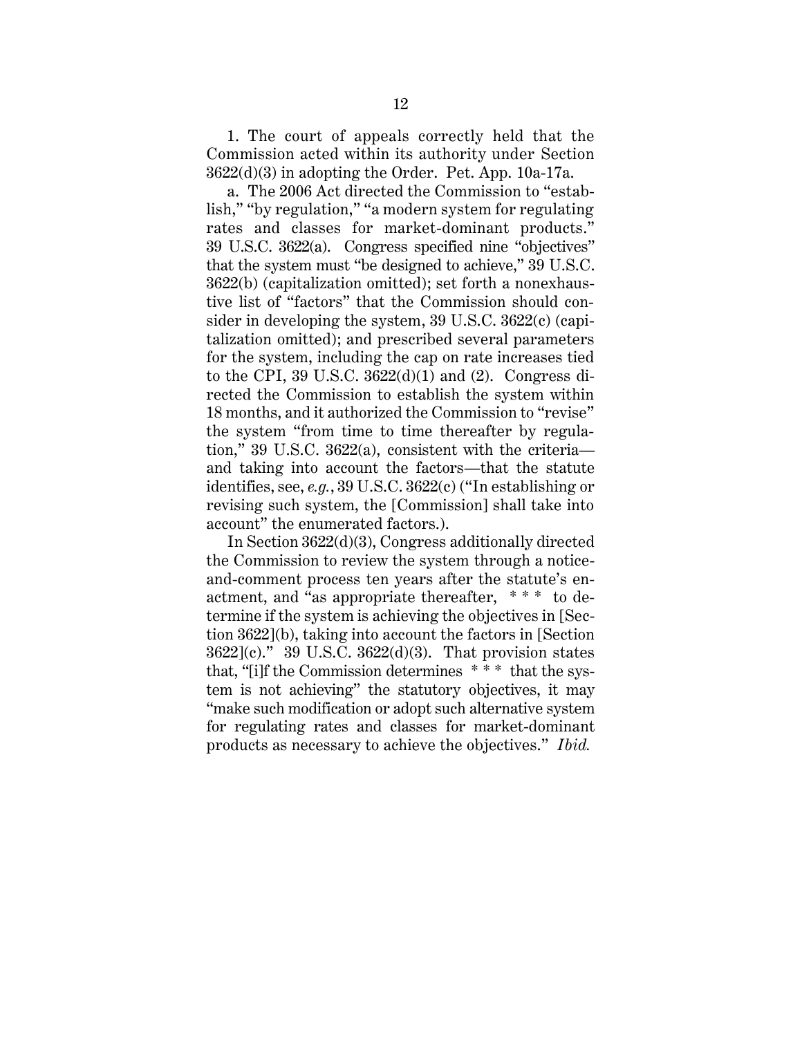1. The court of appeals correctly held that the Commission acted within its authority under Section 3622(d)(3) in adopting the Order. Pet. App. 10a-17a.

a. The 2006 Act directed the Commission to "establish," "by regulation," "a modern system for regulating rates and classes for market-dominant products." 39 U.S.C. 3622(a). Congress specified nine "objectives" that the system must "be designed to achieve," 39 U.S.C. 3622(b) (capitalization omitted); set forth a nonexhaustive list of "factors" that the Commission should consider in developing the system, 39 U.S.C. 3622(c) (capitalization omitted); and prescribed several parameters for the system, including the cap on rate increases tied to the CPI, 39 U.S.C.  $3622(d)(1)$  and (2). Congress directed the Commission to establish the system within 18 months, and it authorized the Commission to "revise" the system "from time to time thereafter by regulation," 39 U.S.C. 3622(a), consistent with the criteria and taking into account the factors—that the statute identifies, see, *e.g.*, 39 U.S.C. 3622(c) ("In establishing or revising such system, the [Commission] shall take into account" the enumerated factors.).

In Section 3622(d)(3), Congress additionally directed the Commission to review the system through a noticeand-comment process ten years after the statute's enactment, and "as appropriate thereafter, \* \* \* to determine if the system is achieving the objectives in [Section 3622](b), taking into account the factors in [Section 3622](c)." 39 U.S.C. 3622(d)(3). That provision states that, "[i]f the Commission determines \* \* \* that the system is not achieving" the statutory objectives, it may "make such modification or adopt such alternative system for regulating rates and classes for market-dominant products as necessary to achieve the objectives." *Ibid.*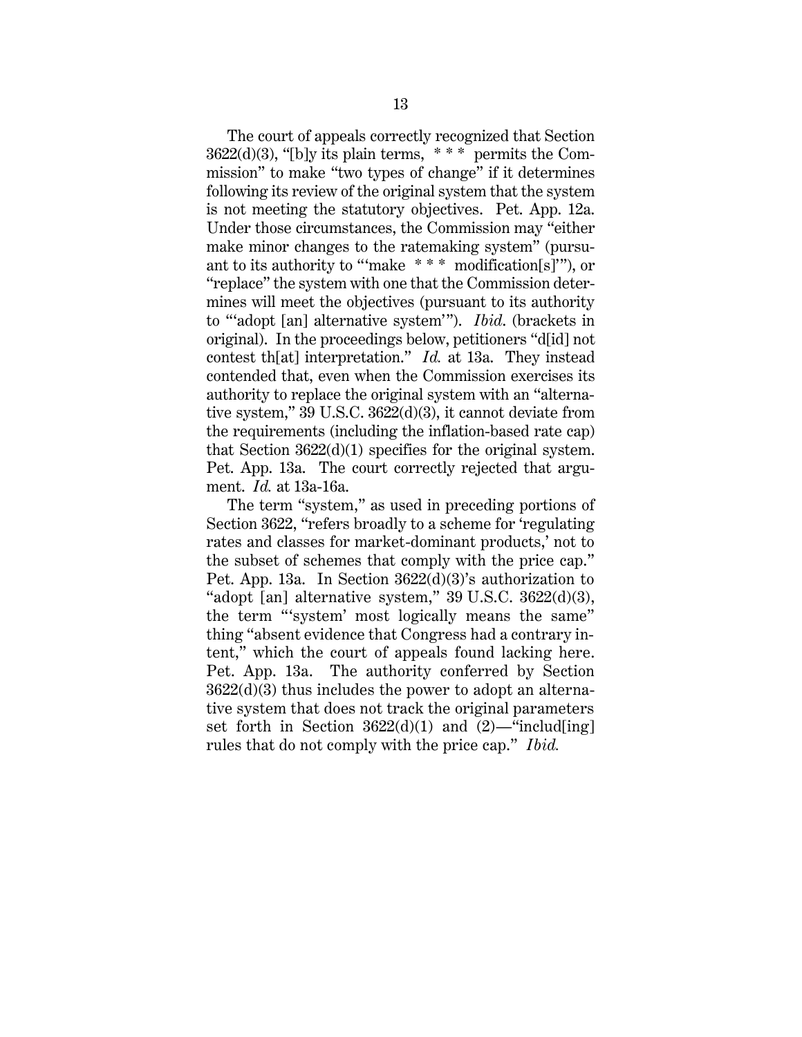The court of appeals correctly recognized that Section  $3622(d)(3)$ , "[b]y its plain terms, \*\*\* permits the Commission" to make "two types of change" if it determines following its review of the original system that the system is not meeting the statutory objectives. Pet. App. 12a. Under those circumstances, the Commission may "either make minor changes to the ratemaking system" (pursuant to its authority to "'make \* \* \* modification[s]'"), or "replace" the system with one that the Commission determines will meet the objectives (pursuant to its authority to "'adopt [an] alternative system'"). *Ibid*. (brackets in original). In the proceedings below, petitioners "d[id] not contest th[at] interpretation." *Id.* at 13a. They instead contended that, even when the Commission exercises its authority to replace the original system with an "alternative system," 39 U.S.C. 3622(d)(3), it cannot deviate from the requirements (including the inflation-based rate cap) that Section 3622(d)(1) specifies for the original system. Pet. App. 13a. The court correctly rejected that argument. *Id.* at 13a-16a.

The term "system," as used in preceding portions of Section 3622, "refers broadly to a scheme for 'regulating rates and classes for market-dominant products,' not to the subset of schemes that comply with the price cap." Pet. App. 13a. In Section 3622(d)(3)'s authorization to "adopt [an] alternative system,"  $39 \text{ U.S.C. } 3622\text{(d)}\text{(3)}$ , the term "'system' most logically means the same" thing "absent evidence that Congress had a contrary intent," which the court of appeals found lacking here. Pet. App. 13a. The authority conferred by Section 3622(d)(3) thus includes the power to adopt an alternative system that does not track the original parameters set forth in Section  $3622(d)(1)$  and  $(2)$ —"includ[ing] rules that do not comply with the price cap." *Ibid.*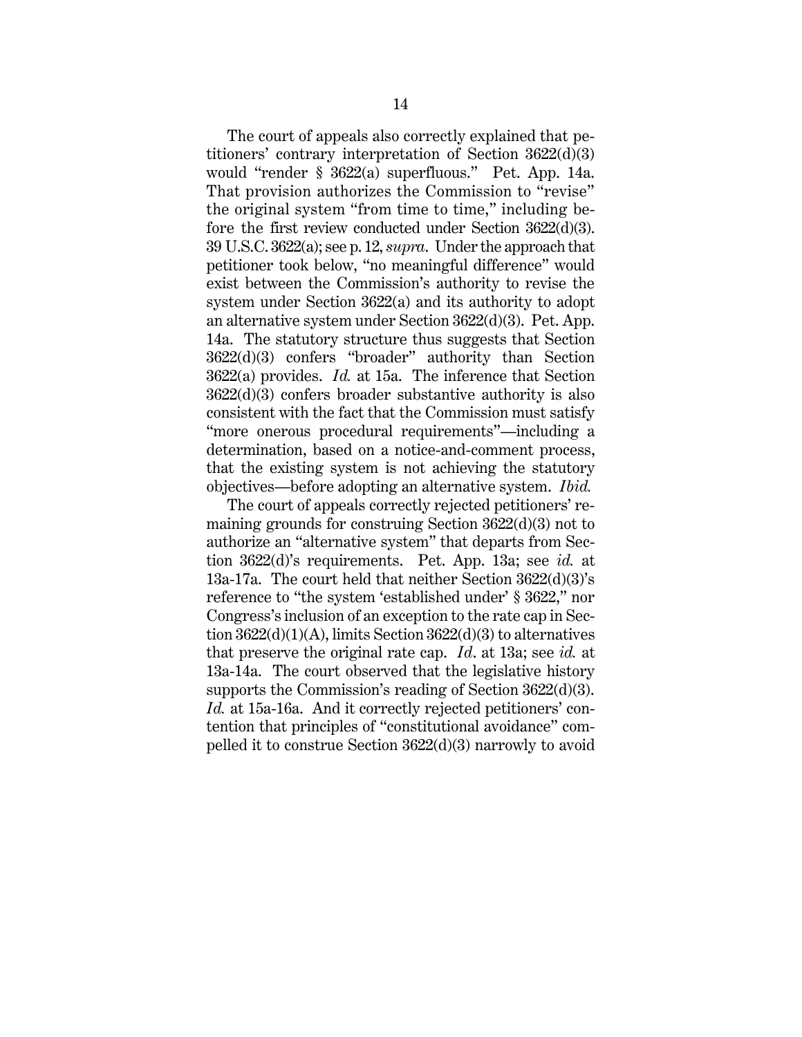The court of appeals also correctly explained that petitioners' contrary interpretation of Section 3622(d)(3) would "render § 3622(a) superfluous." Pet. App. 14a. That provision authorizes the Commission to "revise" the original system "from time to time," including before the first review conducted under Section 3622(d)(3). 39 U.S.C. 3622(a); see p. 12, *supra*. Under the approach that petitioner took below, "no meaningful difference" would exist between the Commission's authority to revise the system under Section 3622(a) and its authority to adopt an alternative system under Section 3622(d)(3). Pet. App. 14a. The statutory structure thus suggests that Section 3622(d)(3) confers "broader" authority than Section 3622(a) provides. *Id.* at 15a. The inference that Section 3622(d)(3) confers broader substantive authority is also consistent with the fact that the Commission must satisfy "more onerous procedural requirements"—including a determination, based on a notice-and-comment process, that the existing system is not achieving the statutory objectives—before adopting an alternative system. *Ibid.*

The court of appeals correctly rejected petitioners' remaining grounds for construing Section 3622(d)(3) not to authorize an "alternative system" that departs from Section 3622(d)'s requirements. Pet. App. 13a; see *id.* at 13a-17a. The court held that neither Section 3622(d)(3)'s reference to "the system 'established under' § 3622," nor Congress's inclusion of an exception to the rate cap in Section 3622(d)(1)(A), limits Section 3622(d)(3) to alternatives that preserve the original rate cap. *Id*. at 13a; see *id.* at 13a-14a. The court observed that the legislative history supports the Commission's reading of Section 3622(d)(3). *Id.* at 15a-16a. And it correctly rejected petitioners' contention that principles of "constitutional avoidance" compelled it to construe Section 3622(d)(3) narrowly to avoid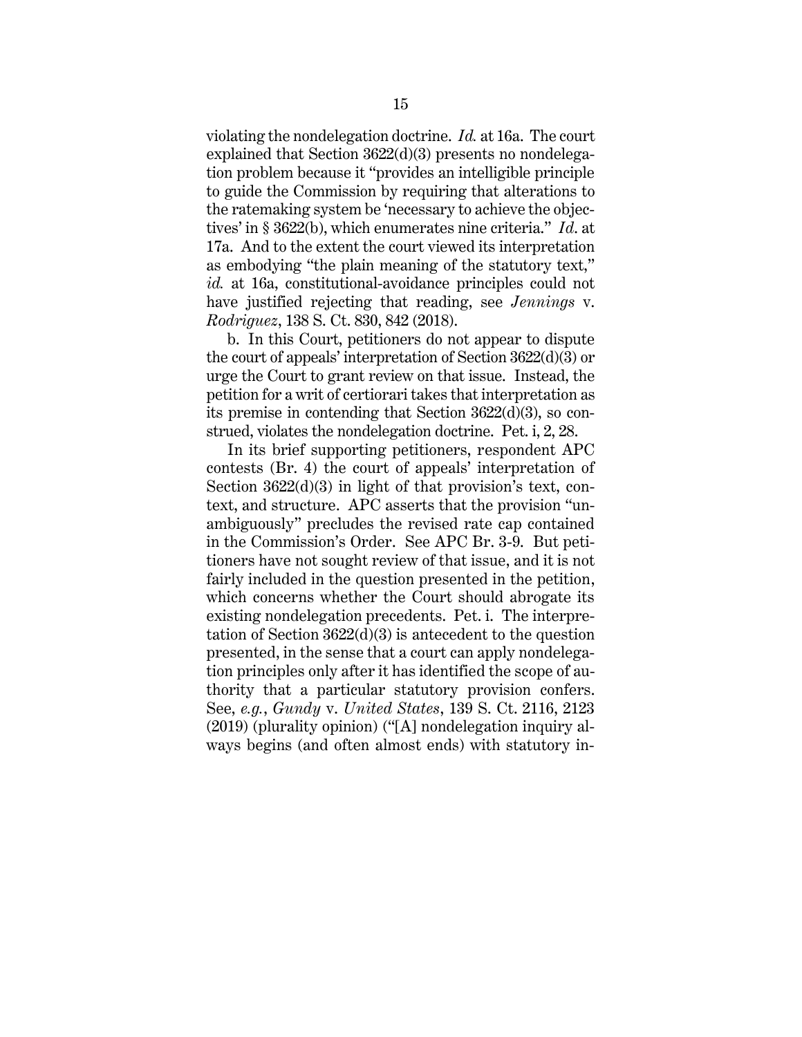violating the nondelegation doctrine. *Id.* at 16a. The court explained that Section 3622(d)(3) presents no nondelegation problem because it "provides an intelligible principle to guide the Commission by requiring that alterations to the ratemaking system be 'necessary to achieve the objectives' in § 3622(b), which enumerates nine criteria." *Id*. at 17a. And to the extent the court viewed its interpretation as embodying "the plain meaning of the statutory text," *id.* at 16a, constitutional-avoidance principles could not have justified rejecting that reading, see *Jennings* v. *Rodriguez*, 138 S. Ct. 830, 842 (2018).

b. In this Court, petitioners do not appear to dispute the court of appeals' interpretation of Section 3622(d)(3) or urge the Court to grant review on that issue. Instead, the petition for a writ of certiorari takes that interpretation as its premise in contending that Section 3622(d)(3), so construed, violates the nondelegation doctrine. Pet. i, 2, 28.

In its brief supporting petitioners, respondent APC contests (Br. 4) the court of appeals' interpretation of Section  $3622(d)(3)$  in light of that provision's text, context, and structure. APC asserts that the provision "unambiguously" precludes the revised rate cap contained in the Commission's Order. See APC Br. 3-9. But petitioners have not sought review of that issue, and it is not fairly included in the question presented in the petition, which concerns whether the Court should abrogate its existing nondelegation precedents. Pet. i. The interpretation of Section 3622(d)(3) is antecedent to the question presented, in the sense that a court can apply nondelegation principles only after it has identified the scope of authority that a particular statutory provision confers. See, *e.g.*, *Gundy* v. *United States*, 139 S. Ct. 2116, 2123 (2019) (plurality opinion) ("[A] nondelegation inquiry always begins (and often almost ends) with statutory in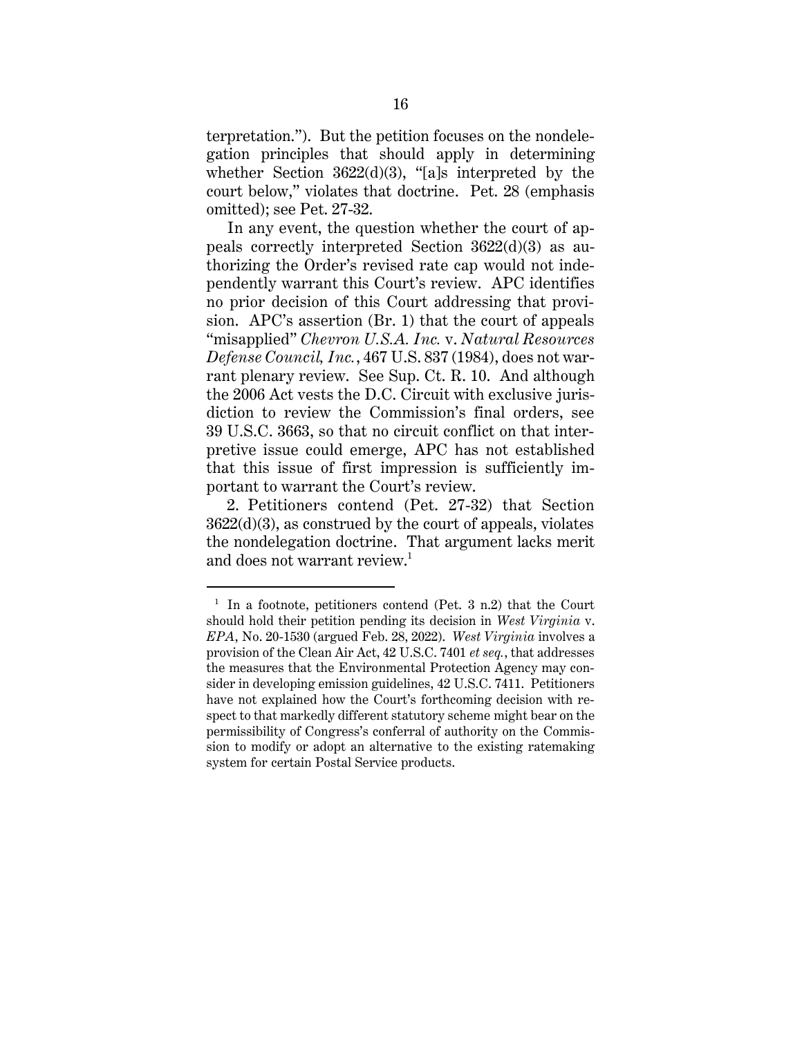terpretation."). But the petition focuses on the nondelegation principles that should apply in determining whether Section 3622(d)(3), "[a]s interpreted by the court below," violates that doctrine. Pet. 28 (emphasis omitted); see Pet. 27-32.

In any event, the question whether the court of appeals correctly interpreted Section 3622(d)(3) as authorizing the Order's revised rate cap would not independently warrant this Court's review. APC identifies no prior decision of this Court addressing that provision. APC's assertion (Br. 1) that the court of appeals "misapplied" *Chevron U.S.A. Inc.* v. *Natural Resources Defense Council, Inc.*, 467 U.S. 837 (1984), does not warrant plenary review. See Sup. Ct. R. 10. And although the 2006 Act vests the D.C. Circuit with exclusive jurisdiction to review the Commission's final orders, see 39 U.S.C. 3663, so that no circuit conflict on that interpretive issue could emerge, APC has not established that this issue of first impression is sufficiently important to warrant the Court's review.

2. Petitioners contend (Pet. 27-32) that Section 3622(d)(3), as construed by the court of appeals, violates the nondelegation doctrine. That argument lacks merit and does not warrant review.<sup>1</sup>

<sup>1</sup> In a footnote, petitioners contend (Pet. 3 n.2) that the Court should hold their petition pending its decision in *West Virginia* v. *EPA*, No. 20-1530 (argued Feb. 28, 2022). *West Virginia* involves a provision of the Clean Air Act, 42 U.S.C. 7401 *et seq.*, that addresses the measures that the Environmental Protection Agency may consider in developing emission guidelines, 42 U.S.C. 7411. Petitioners have not explained how the Court's forthcoming decision with respect to that markedly different statutory scheme might bear on the permissibility of Congress's conferral of authority on the Commission to modify or adopt an alternative to the existing ratemaking system for certain Postal Service products.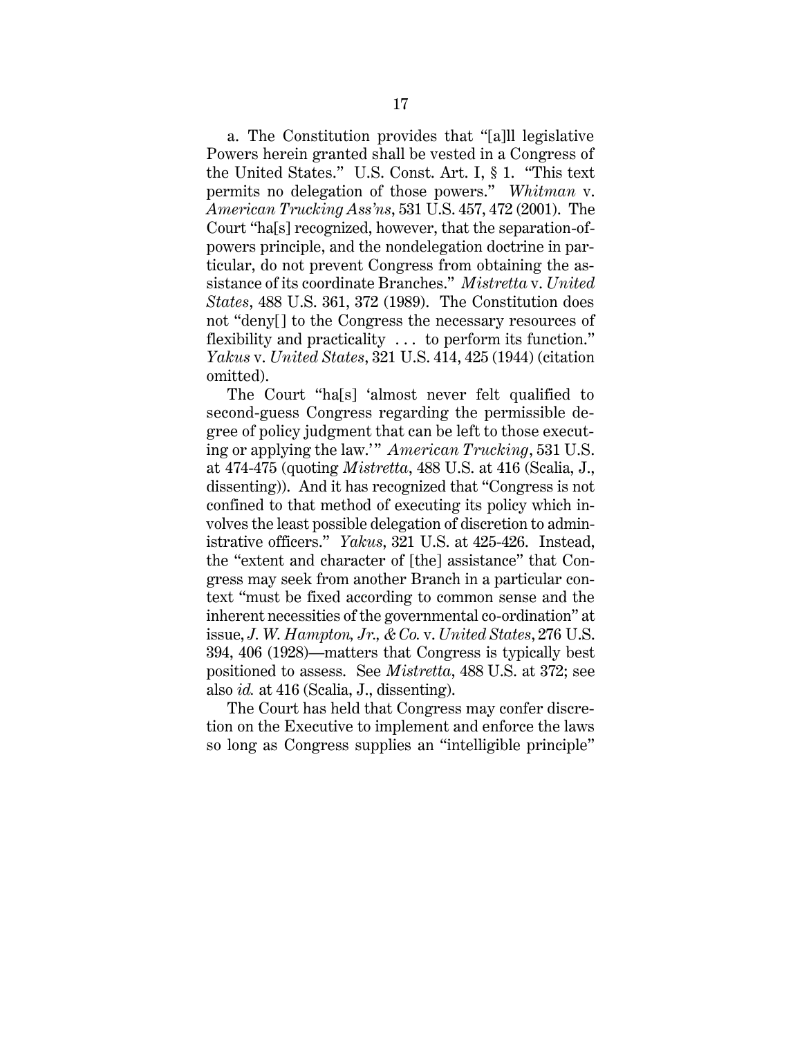a. The Constitution provides that "[a]ll legislative Powers herein granted shall be vested in a Congress of the United States." U.S. Const. Art. I, § 1. "This text permits no delegation of those powers." *Whitman* v. *American Trucking Ass'ns*, 531 U.S. 457, 472 (2001). The Court "ha[s] recognized, however, that the separation-ofpowers principle, and the nondelegation doctrine in particular, do not prevent Congress from obtaining the assistance of its coordinate Branches." *Mistretta* v. *United States*, 488 U.S. 361, 372 (1989). The Constitution does not "deny[] to the Congress the necessary resources of flexibility and practicality . . . to perform its function." *Yakus* v. *United States*, 321 U.S. 414, 425 (1944) (citation omitted).

The Court "ha[s] 'almost never felt qualified to second-guess Congress regarding the permissible degree of policy judgment that can be left to those executing or applying the law." American Trucking, 531 U.S. at 474-475 (quoting *Mistretta*, 488 U.S. at 416 (Scalia, J., dissenting)). And it has recognized that "Congress is not confined to that method of executing its policy which involves the least possible delegation of discretion to administrative officers." *Yakus*, 321 U.S. at 425-426. Instead, the "extent and character of [the] assistance" that Congress may seek from another Branch in a particular context "must be fixed according to common sense and the inherent necessities of the governmental co-ordination" at issue, *J. W. Hampton, Jr., & Co.* v. *United States*, 276 U.S. 394, 406 (1928)—matters that Congress is typically best positioned to assess. See *Mistretta*, 488 U.S. at 372; see also *id.* at 416 (Scalia, J., dissenting).

The Court has held that Congress may confer discretion on the Executive to implement and enforce the laws so long as Congress supplies an "intelligible principle"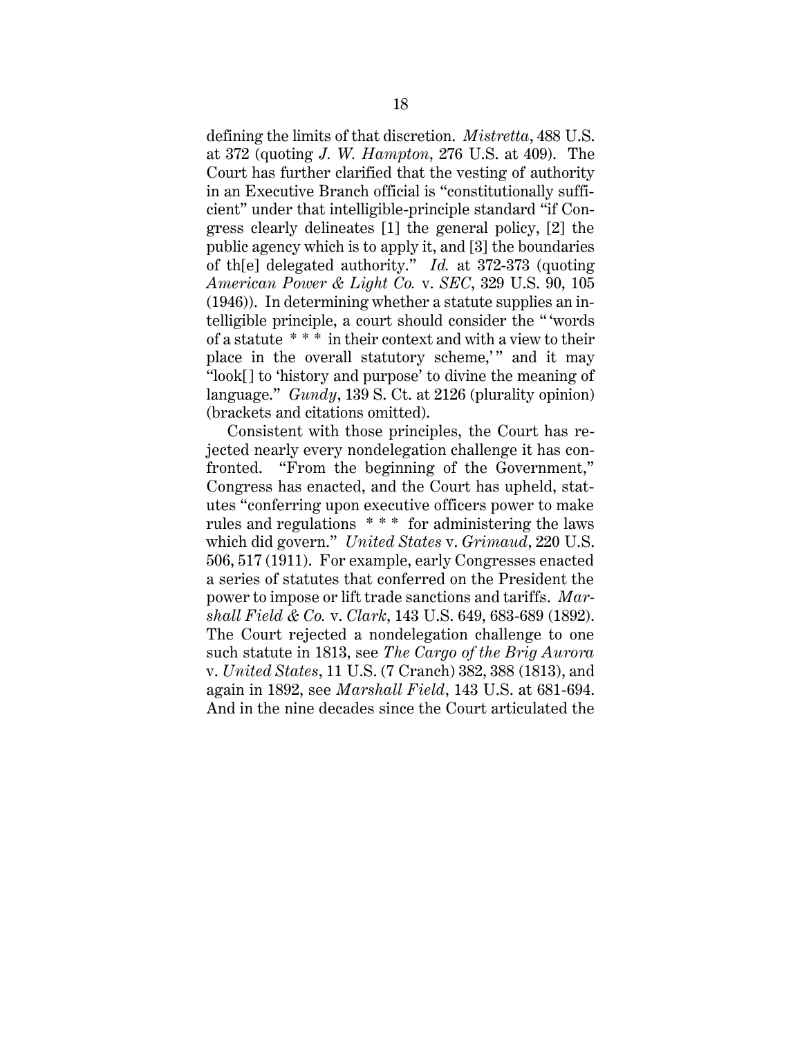defining the limits of that discretion. *Mistretta*, 488 U.S. at 372 (quoting *J. W. Hampton*, 276 U.S. at 409). The Court has further clarified that the vesting of authority in an Executive Branch official is "constitutionally sufficient" under that intelligible-principle standard "if Congress clearly delineates [1] the general policy, [2] the public agency which is to apply it, and [3] the boundaries of th[e] delegated authority." *Id.* at 372-373 (quoting *American Power & Light Co.* v. *SEC*, 329 U.S. 90, 105 (1946)). In determining whether a statute supplies an intelligible principle, a court should consider the "  'words of a statute  $***$  in their context and with a view to their place in the overall statutory scheme,'" and it may "look[] to 'history and purpose' to divine the meaning of language." *Gundy*, 139 S. Ct. at 2126 (plurality opinion) (brackets and citations omitted).

Consistent with those principles, the Court has rejected nearly every nondelegation challenge it has confronted. "From the beginning of the Government," Congress has enacted, and the Court has upheld, statutes "conferring upon executive officers power to make rules and regulations \* \* \* for administering the laws which did govern." *United States* v. *Grimaud*, 220 U.S. 506, 517 (1911). For example, early Congresses enacted a series of statutes that conferred on the President the power to impose or lift trade sanctions and tariffs. *Marshall Field & Co.* v. *Clark*, 143 U.S. 649, 683-689 (1892). The Court rejected a nondelegation challenge to one such statute in 1813, see *The Cargo of the Brig Aurora* v. *United States*, 11 U.S. (7 Cranch) 382, 388 (1813), and again in 1892, see *Marshall Field*, 143 U.S. at 681-694. And in the nine decades since the Court articulated the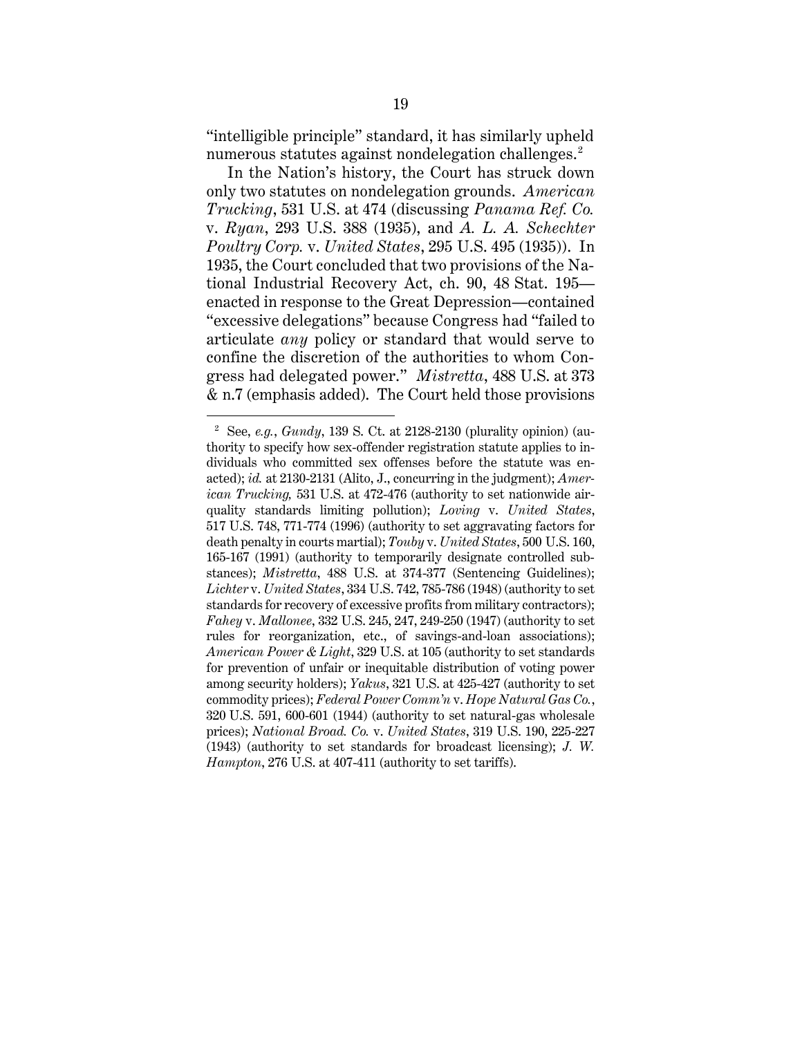"intelligible principle" standard, it has similarly upheld numerous statutes against nondelegation challenges.<sup>2</sup>

In the Nation's history, the Court has struck down only two statutes on nondelegation grounds. *American Trucking*, 531 U.S. at 474 (discussing *Panama Ref. Co.*  v. *Ryan*, 293 U.S. 388 (1935), and *A. L. A. Schechter Poultry Corp.* v. *United States*, 295 U.S. 495 (1935)). In 1935, the Court concluded that two provisions of the National Industrial Recovery Act, ch. 90, 48 Stat. 195 enacted in response to the Great Depression—contained "excessive delegations" because Congress had "failed to articulate *any* policy or standard that would serve to confine the discretion of the authorities to whom Congress had delegated power." *Mistretta*, 488 U.S. at 373 & n.7 (emphasis added). The Court held those provisions

<sup>2</sup> See, *e.g.*, *Gundy*, 139 S. Ct. at 2128-2130 (plurality opinion) (authority to specify how sex-offender registration statute applies to individuals who committed sex offenses before the statute was enacted); *id.* at 2130-2131 (Alito, J., concurring in the judgment); *American Trucking,* 531 U.S. at 472-476 (authority to set nationwide airquality standards limiting pollution); *Loving* v. *United States*, 517 U.S. 748, 771-774 (1996) (authority to set aggravating factors for death penalty in courts martial); *Touby* v. *United States*, 500 U.S. 160, 165-167 (1991) (authority to temporarily designate controlled substances); *Mistretta*, 488 U.S. at 374-377 (Sentencing Guidelines); *Lichter* v. *United States*, 334 U.S. 742, 785-786 (1948) (authority to set standards for recovery of excessive profits from military contractors); *Fahey* v. *Mallonee*, 332 U.S. 245, 247, 249-250 (1947) (authority to set rules for reorganization, etc., of savings-and-loan associations); *American Power & Light*, 329 U.S. at 105 (authority to set standards for prevention of unfair or inequitable distribution of voting power among security holders); *Yakus*, 321 U.S. at 425-427 (authority to set commodity prices); *Federal Power Comm'n* v. *Hope Natural Gas Co.*, 320 U.S. 591, 600-601 (1944) (authority to set natural-gas wholesale prices); *National Broad. Co.* v. *United States*, 319 U.S. 190, 225-227 (1943) (authority to set standards for broadcast licensing); *J. W. Hampton*, 276 U.S. at 407-411 (authority to set tariffs).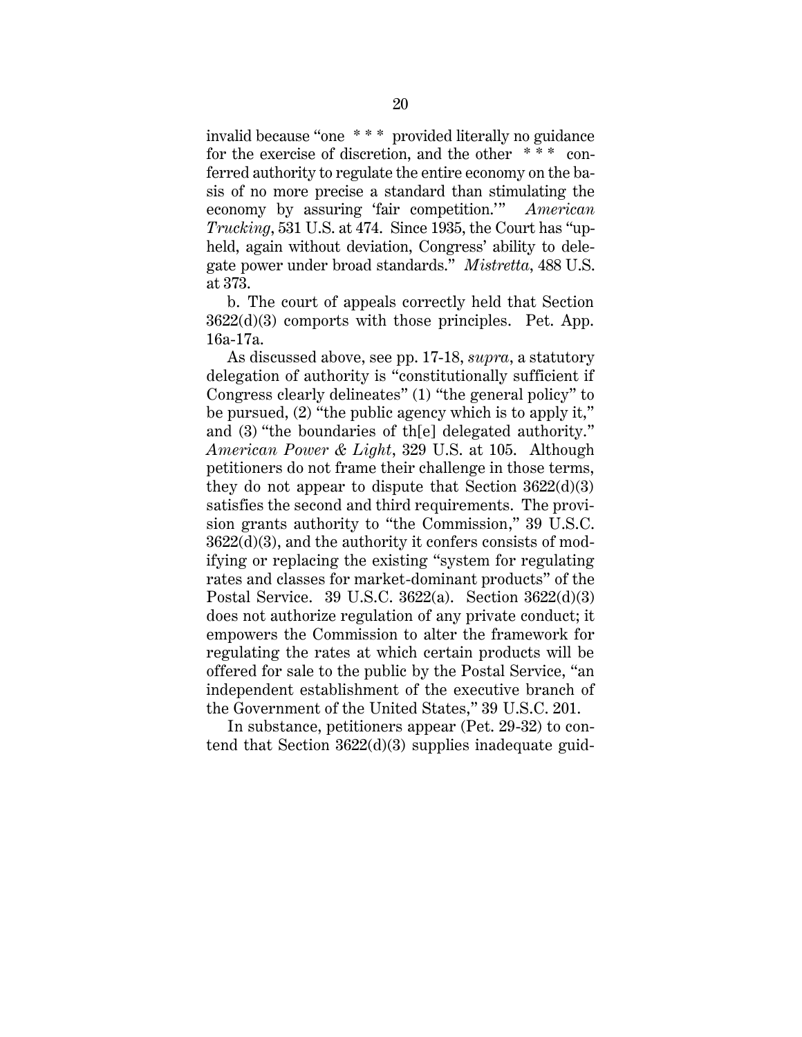invalid because "one \* \* \* provided literally no guidance for the exercise of discretion, and the other \* \* \* conferred authority to regulate the entire economy on the basis of no more precise a standard than stimulating the economy by assuring 'fair competition.'" *American Trucking*, 531 U.S. at 474. Since 1935, the Court has "upheld, again without deviation, Congress' ability to delegate power under broad standards." *Mistretta*, 488 U.S. at 373.

b. The court of appeals correctly held that Section 3622(d)(3) comports with those principles. Pet. App. 16a-17a.

As discussed above, see pp. 17-18, *supra*, a statutory delegation of authority is "constitutionally sufficient if Congress clearly delineates" (1) "the general policy" to be pursued, (2) "the public agency which is to apply it," and (3) "the boundaries of th[e] delegated authority." *American Power & Light*, 329 U.S. at 105. Although petitioners do not frame their challenge in those terms, they do not appear to dispute that Section  $3622(d)(3)$ satisfies the second and third requirements. The provision grants authority to "the Commission," 39 U.S.C. 3622(d)(3), and the authority it confers consists of modifying or replacing the existing "system for regulating rates and classes for market-dominant products" of the Postal Service. 39 U.S.C. 3622(a). Section 3622(d)(3) does not authorize regulation of any private conduct; it empowers the Commission to alter the framework for regulating the rates at which certain products will be offered for sale to the public by the Postal Service, "an independent establishment of the executive branch of the Government of the United States," 39 U.S.C. 201.

In substance, petitioners appear (Pet. 29-32) to contend that Section 3622(d)(3) supplies inadequate guid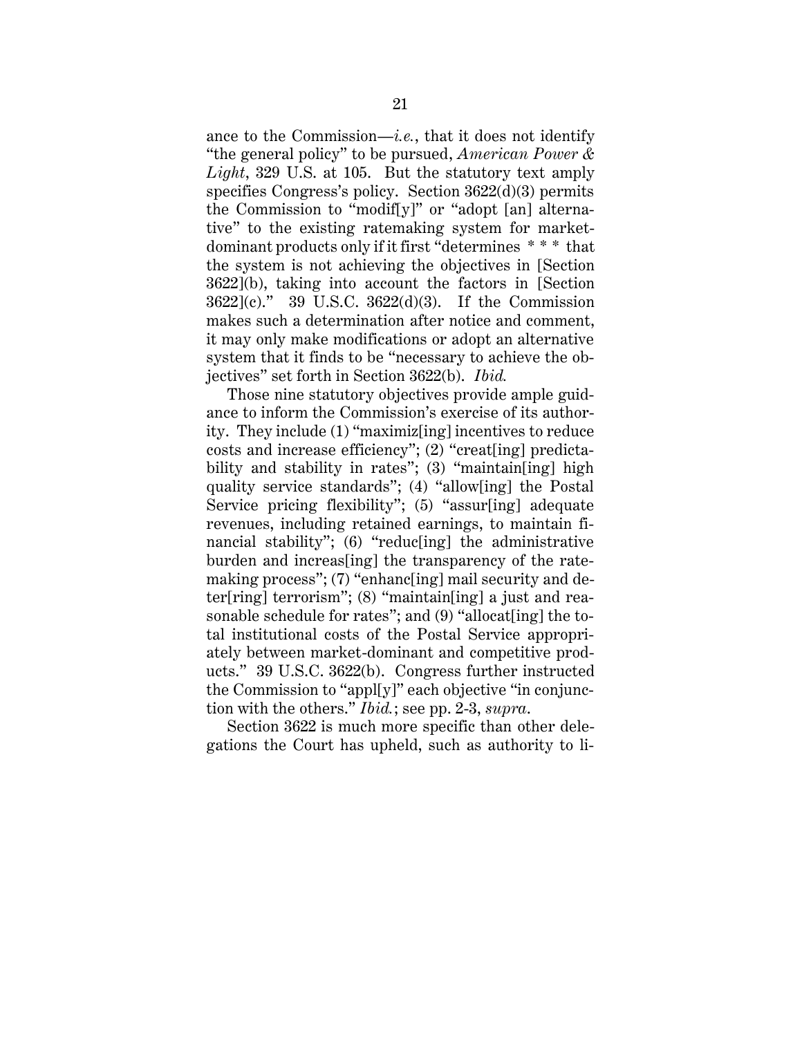ance to the Commission—*i.e.*, that it does not identify "the general policy" to be pursued, *American Power & Light*, 329 U.S. at 105. But the statutory text amply specifies Congress's policy. Section 3622(d)(3) permits the Commission to "modif[y]" or "adopt [an] alternative" to the existing ratemaking system for marketdominant products only if it first "determines \* \* \* that the system is not achieving the objectives in [Section 3622](b), taking into account the factors in [Section 3622](c)." 39 U.S.C. 3622(d)(3). If the Commission makes such a determination after notice and comment, it may only make modifications or adopt an alternative system that it finds to be "necessary to achieve the objectives" set forth in Section 3622(b). *Ibid.*

Those nine statutory objectives provide ample guidance to inform the Commission's exercise of its authority. They include (1) "maximiz[ing] incentives to reduce costs and increase efficiency"; (2) "creat[ing] predictability and stability in rates"; (3) "maintain[ing] high quality service standards"; (4) "allow[ing] the Postal Service pricing flexibility"; (5) "assur[ing] adequate revenues, including retained earnings, to maintain financial stability"; (6) "reduc[ing] the administrative burden and increas[ing] the transparency of the ratemaking process"; (7) "enhanc[ing] mail security and deter[ring] terrorism"; (8) "maintain[ing] a just and reasonable schedule for rates"; and (9) "allocat[ing] the total institutional costs of the Postal Service appropriately between market-dominant and competitive products." 39 U.S.C. 3622(b). Congress further instructed the Commission to "appl[y]" each objective "in conjunction with the others." *Ibid.*; see pp. 2-3, *supra*.

Section 3622 is much more specific than other delegations the Court has upheld, such as authority to li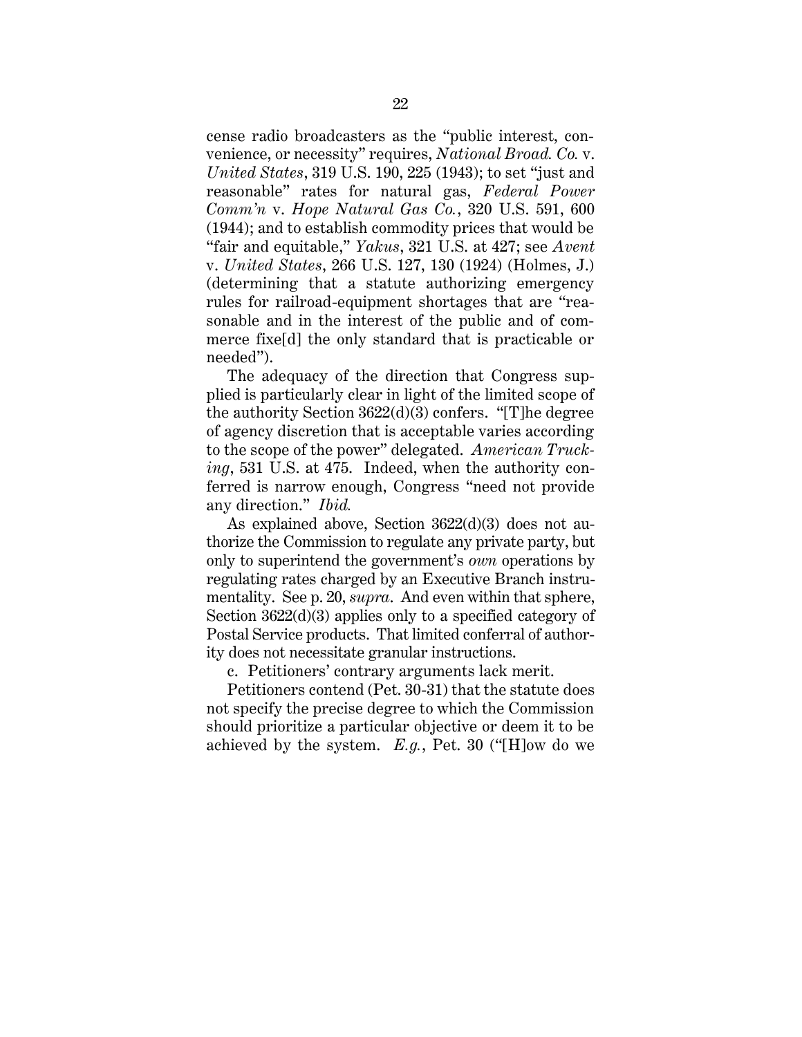cense radio broadcasters as the "public interest, convenience, or necessity" requires, *National Broad. Co.* v. *United States*, 319 U.S. 190, 225 (1943); to set "just and reasonable" rates for natural gas, *Federal Power Comm'n* v. *Hope Natural Gas Co.*, 320 U.S. 591, 600 (1944); and to establish commodity prices that would be "fair and equitable," *Yakus*, 321 U.S. at 427; see *Avent*  v. *United States*, 266 U.S. 127, 130 (1924) (Holmes, J.) (determining that a statute authorizing emergency rules for railroad-equipment shortages that are "reasonable and in the interest of the public and of commerce fixe[d] the only standard that is practicable or needed").

The adequacy of the direction that Congress supplied is particularly clear in light of the limited scope of the authority Section 3622(d)(3) confers. "[T]he degree of agency discretion that is acceptable varies according to the scope of the power" delegated. *American Trucking*, 531 U.S. at 475. Indeed, when the authority conferred is narrow enough, Congress "need not provide any direction." *Ibid.*

As explained above, Section 3622(d)(3) does not authorize the Commission to regulate any private party, but only to superintend the government's *own* operations by regulating rates charged by an Executive Branch instrumentality. See p. 20, *supra*. And even within that sphere, Section 3622(d)(3) applies only to a specified category of Postal Service products. That limited conferral of authority does not necessitate granular instructions.

c. Petitioners' contrary arguments lack merit.

Petitioners contend (Pet. 30-31) that the statute does not specify the precise degree to which the Commission should prioritize a particular objective or deem it to be achieved by the system. *E.g.*, Pet. 30 ("[H]ow do we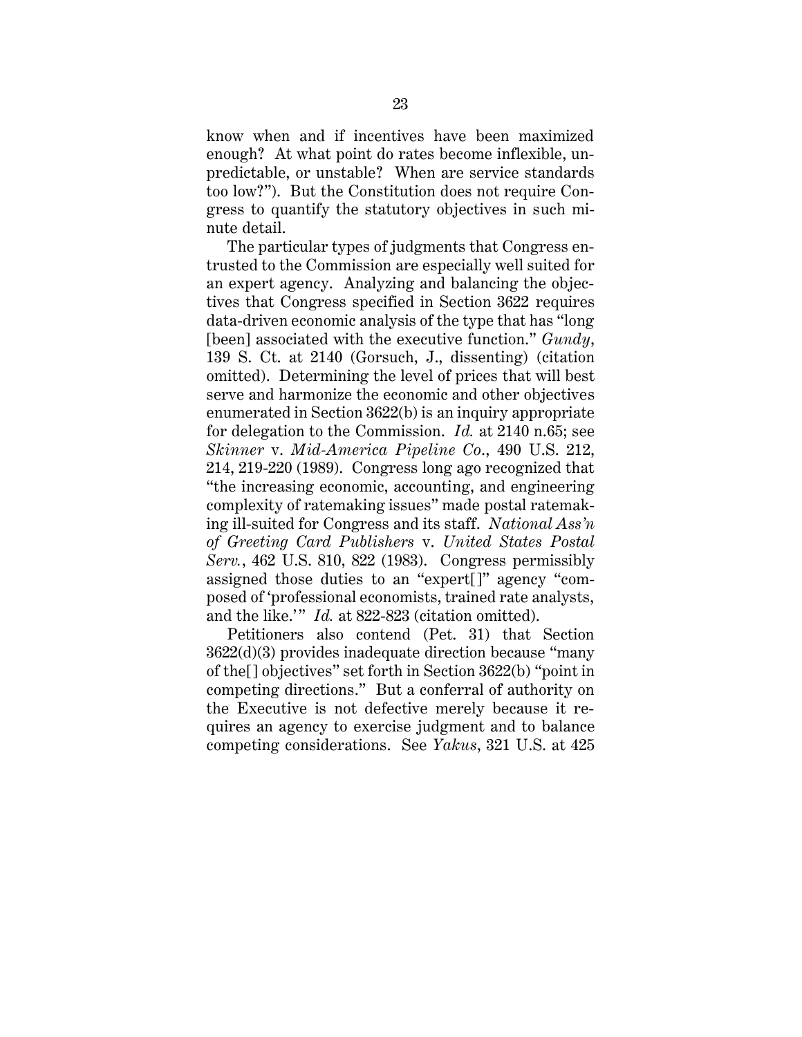know when and if incentives have been maximized enough? At what point do rates become inflexible, unpredictable, or unstable? When are service standards too low?"). But the Constitution does not require Congress to quantify the statutory objectives in such minute detail.

The particular types of judgments that Congress entrusted to the Commission are especially well suited for an expert agency. Analyzing and balancing the objectives that Congress specified in Section 3622 requires data-driven economic analysis of the type that has "long [been] associated with the executive function." *Gundy*, 139 S. Ct. at 2140 (Gorsuch, J., dissenting) (citation omitted). Determining the level of prices that will best serve and harmonize the economic and other objectives enumerated in Section 3622(b) is an inquiry appropriate for delegation to the Commission. *Id.* at 2140 n.65; see *Skinner* v. *Mid-America Pipeline Co*., 490 U.S. 212, 214, 219-220 (1989). Congress long ago recognized that "the increasing economic, accounting, and engineering complexity of ratemaking issues" made postal ratemaking ill-suited for Congress and its staff. *National Ass'n of Greeting Card Publishers* v. *United States Postal Serv.*, 462 U.S. 810, 822 (1983). Congress permissibly assigned those duties to an "expert[]" agency "composed of 'professional economists, trained rate analysts, and the like.'" *Id.* at 822-823 (citation omitted).

Petitioners also contend (Pet. 31) that Section 3622(d)(3) provides inadequate direction because "many of the[] objectives" set forth in Section 3622(b) "point in competing directions." But a conferral of authority on the Executive is not defective merely because it requires an agency to exercise judgment and to balance competing considerations. See *Yakus*, 321 U.S. at 425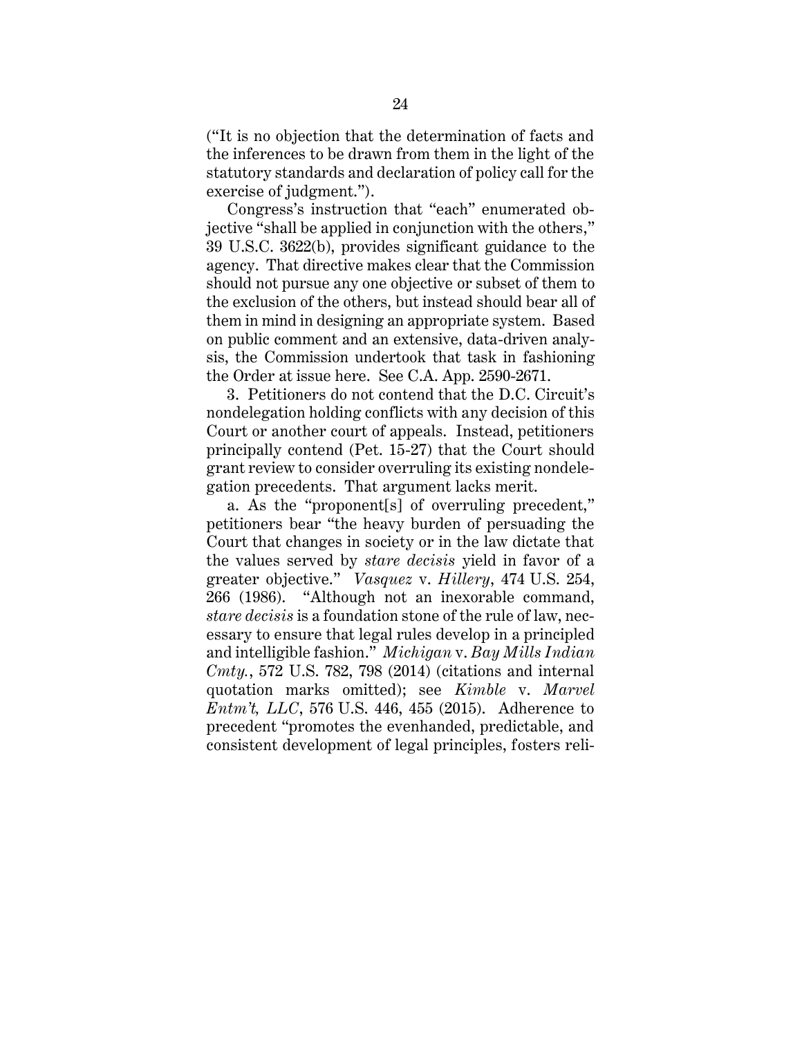("It is no objection that the determination of facts and the inferences to be drawn from them in the light of the statutory standards and declaration of policy call for the exercise of judgment.").

Congress's instruction that "each" enumerated objective "shall be applied in conjunction with the others," 39 U.S.C. 3622(b), provides significant guidance to the agency. That directive makes clear that the Commission should not pursue any one objective or subset of them to the exclusion of the others, but instead should bear all of them in mind in designing an appropriate system. Based on public comment and an extensive, data-driven analysis, the Commission undertook that task in fashioning the Order at issue here. See C.A. App. 2590-2671.

3. Petitioners do not contend that the D.C. Circuit's nondelegation holding conflicts with any decision of this Court or another court of appeals. Instead, petitioners principally contend (Pet. 15-27) that the Court should grant review to consider overruling its existing nondelegation precedents. That argument lacks merit.

a. As the "proponent[s] of overruling precedent," petitioners bear "the heavy burden of persuading the Court that changes in society or in the law dictate that the values served by *stare decisis* yield in favor of a greater objective." *Vasquez* v. *Hillery*, 474 U.S. 254, 266 (1986). "Although not an inexorable command, *stare decisis* is a foundation stone of the rule of law, necessary to ensure that legal rules develop in a principled and intelligible fashion." *Michigan* v. *Bay Mills Indian Cmty.*, 572 U.S. 782, 798 (2014) (citations and internal quotation marks omitted); see *Kimble* v. *Marvel Entm't, LLC*, 576 U.S. 446, 455 (2015). Adherence to precedent "promotes the evenhanded, predictable, and consistent development of legal principles, fosters reli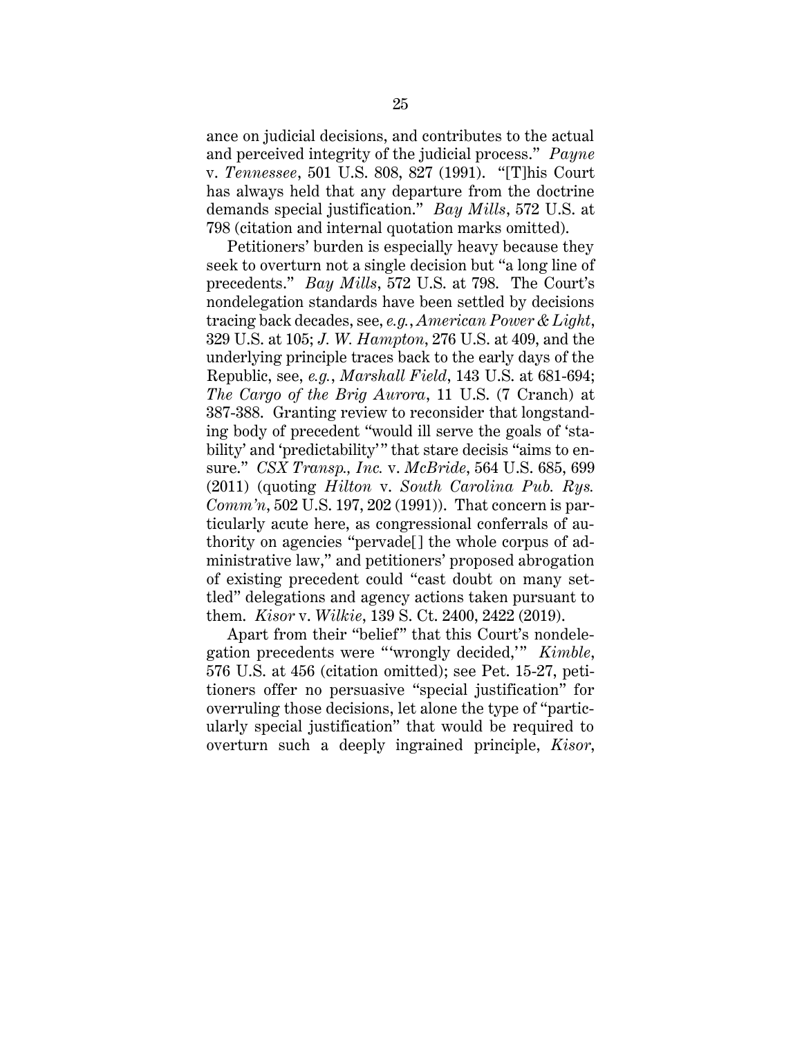ance on judicial decisions, and contributes to the actual and perceived integrity of the judicial process." *Payne*  v. *Tennessee*, 501 U.S. 808, 827 (1991). "[T]his Court has always held that any departure from the doctrine demands special justification." *Bay Mills*, 572 U.S. at 798 (citation and internal quotation marks omitted).

Petitioners' burden is especially heavy because they seek to overturn not a single decision but "a long line of precedents." *Bay Mills*, 572 U.S. at 798. The Court's nondelegation standards have been settled by decisions tracing back decades, see, *e.g.*, *American Power & Light*, 329 U.S. at 105; *J. W. Hampton*, 276 U.S. at 409, and the underlying principle traces back to the early days of the Republic, see, *e.g.*, *Marshall Field*, 143 U.S. at 681-694; *The Cargo of the Brig Aurora*, 11 U.S. (7 Cranch) at 387-388. Granting review to reconsider that longstanding body of precedent "would ill serve the goals of 'stability' and 'predictability'" that stare decisis "aims to ensure." *CSX Transp., Inc.* v. *McBride*, 564 U.S. 685, 699 (2011) (quoting *Hilton* v. *South Carolina Pub. Rys. Comm'n*, 502 U.S. 197, 202 (1991)). That concern is particularly acute here, as congressional conferrals of authority on agencies "pervade[] the whole corpus of administrative law," and petitioners' proposed abrogation of existing precedent could "cast doubt on many settled" delegations and agency actions taken pursuant to them. *Kisor* v. *Wilkie*, 139 S. Ct. 2400, 2422 (2019).

Apart from their "belief" that this Court's nondelegation precedents were "'wrongly decided,'" *Kimble*, 576 U.S. at 456 (citation omitted); see Pet. 15-27, petitioners offer no persuasive "special justification" for overruling those decisions, let alone the type of "particularly special justification" that would be required to overturn such a deeply ingrained principle, *Kisor*,